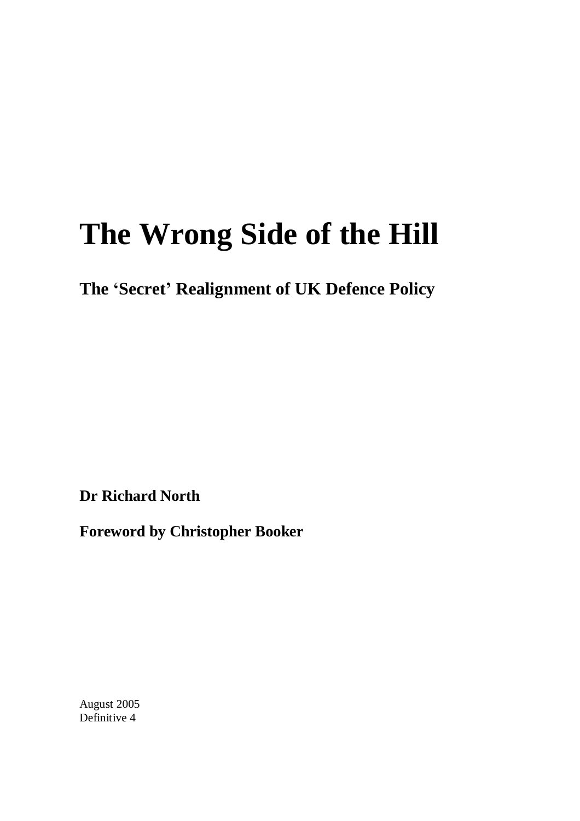# **The Wrong Side of the Hill**

**The 'Secret' Realignment of UK Defence Policy**

**Dr Richard North**

**Foreword by Christopher Booker**

August 2005 Definitive 4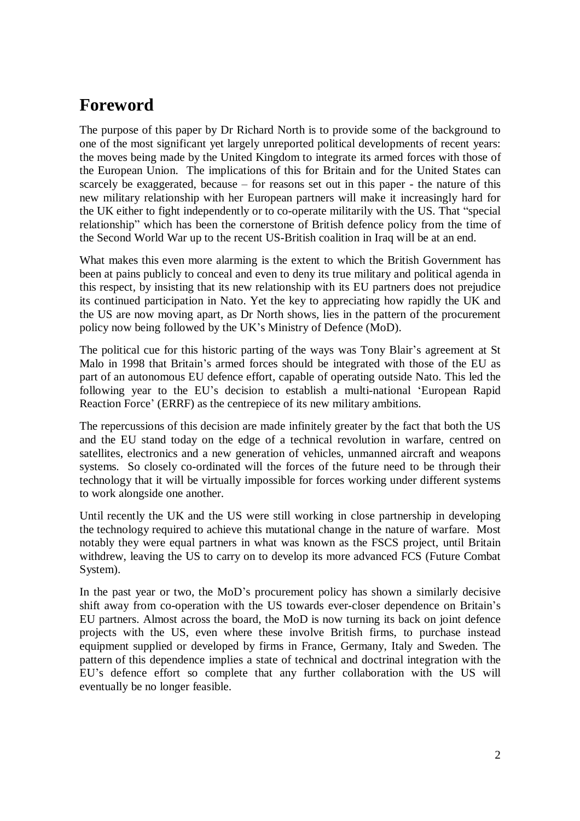## **Foreword**

The purpose of this paper by Dr Richard North is to provide some of the background to one of the most significant yet largely unreported political developments of recent years: the moves being made by the United Kingdom to integrate its armed forces with those of the European Union. The implications of this for Britain and for the United States can scarcely be exaggerated, because – for reasons set out in this paper - the nature of this new military relationship with her European partners will make it increasingly hard for the UK either to fight independently or to co-operate militarily with the US. That "special relationship" which has been the cornerstone of British defence policy from the time of the Second World War up to the recent US-British coalition in Iraq will be at an end.

What makes this even more alarming is the extent to which the British Government has been at pains publicly to conceal and even to deny its true military and political agenda in this respect, by insisting that its new relationship with its EU partners does not prejudice its continued participation in Nato. Yet the key to appreciating how rapidly the UK and the US are now moving apart, as Dr North shows, lies in the pattern of the procurement policy now being followed by the UK's Ministry of Defence (MoD).

The political cue for this historic parting of the ways was Tony Blair's agreement at St Malo in 1998 that Britain's armed forces should be integrated with those of the EU as part of an autonomous EU defence effort, capable of operating outside Nato. This led the following year to the EU's decision to establish a multi-national 'European Rapid Reaction Force' (ERRF) as the centrepiece of its new military ambitions.

The repercussions of this decision are made infinitely greater by the fact that both the US and the EU stand today on the edge of a technical revolution in warfare, centred on satellites, electronics and a new generation of vehicles, unmanned aircraft and weapons systems. So closely co-ordinated will the forces of the future need to be through their technology that it will be virtually impossible for forces working under different systems to work alongside one another.

Until recently the UK and the US were still working in close partnership in developing the technology required to achieve this mutational change in the nature of warfare. Most notably they were equal partners in what was known as the FSCS project, until Britain withdrew, leaving the US to carry on to develop its more advanced FCS (Future Combat System).

In the past year or two, the MoD's procurement policy has shown a similarly decisive shift away from co-operation with the US towards ever-closer dependence on Britain's EU partners. Almost across the board, the MoD is now turning its back on joint defence projects with the US, even where these involve British firms, to purchase instead equipment supplied or developed by firms in France, Germany, Italy and Sweden. The pattern of this dependence implies a state of technical and doctrinal integration with the EU's defence effort so complete that any further collaboration with the US will eventually be no longer feasible.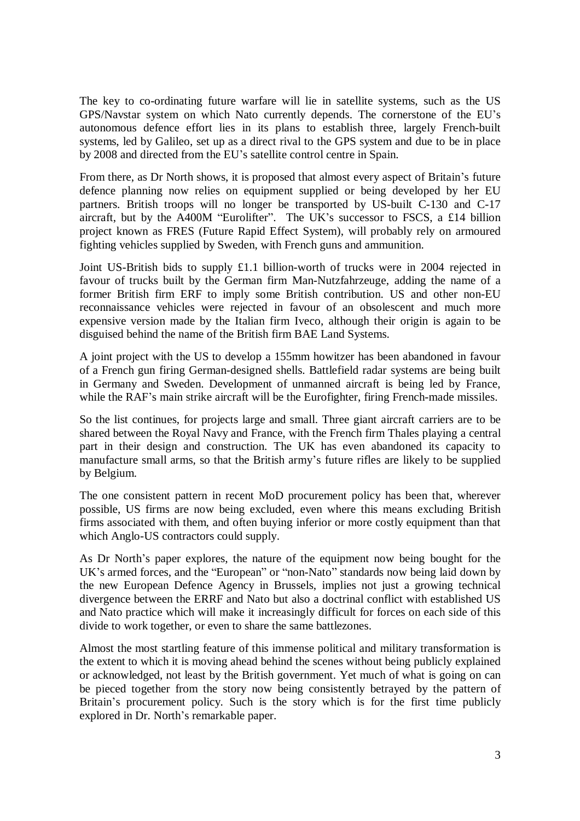The key to co-ordinating future warfare will lie in satellite systems, such as the US GPS/Navstar system on which Nato currently depends. The cornerstone of the EU's autonomous defence effort lies in its plans to establish three, largely French-built systems, led by Galileo, set up as a direct rival to the GPS system and due to be in place by 2008 and directed from the EU's satellite control centre in Spain.

From there, as Dr North shows, it is proposed that almost every aspect of Britain's future defence planning now relies on equipment supplied or being developed by her EU partners. British troops will no longer be transported by US-built C-130 and C-17 aircraft, but by the A400M "Eurolifter". The UK's successor to FSCS, a £14 billion project known as FRES (Future Rapid Effect System), will probably rely on armoured fighting vehicles supplied by Sweden, with French guns and ammunition.

Joint US-British bids to supply £1.1 billion-worth of trucks were in 2004 rejected in favour of trucks built by the German firm Man-Nutzfahrzeuge, adding the name of a former British firm ERF to imply some British contribution. US and other non-EU reconnaissance vehicles were rejected in favour of an obsolescent and much more expensive version made by the Italian firm Iveco, although their origin is again to be disguised behind the name of the British firm BAE Land Systems.

A joint project with the US to develop a 155mm howitzer has been abandoned in favour of a French gun firing German-designed shells. Battlefield radar systems are being built in Germany and Sweden. Development of unmanned aircraft is being led by France, while the RAF's main strike aircraft will be the Eurofighter, firing French-made missiles.

So the list continues, for projects large and small. Three giant aircraft carriers are to be shared between the Royal Navy and France, with the French firm Thales playing a central part in their design and construction. The UK has even abandoned its capacity to manufacture small arms, so that the British army's future rifles are likely to be supplied by Belgium.

The one consistent pattern in recent MoD procurement policy has been that, wherever possible, US firms are now being excluded, even where this means excluding British firms associated with them, and often buying inferior or more costly equipment than that which Anglo-US contractors could supply.

As Dr North's paper explores, the nature of the equipment now being bought for the UK's armed forces, and the "European" or "non-Nato" standards now being laid down by the new European Defence Agency in Brussels, implies not just a growing technical divergence between the ERRF and Nato but also a doctrinal conflict with established US and Nato practice which will make it increasingly difficult for forces on each side of this divide to work together, or even to share the same battlezones.

Almost the most startling feature of this immense political and military transformation is the extent to which it is moving ahead behind the scenes without being publicly explained or acknowledged, not least by the British government. Yet much of what is going on can be pieced together from the story now being consistently betrayed by the pattern of Britain's procurement policy. Such is the story which is for the first time publicly explored in Dr. North's remarkable paper.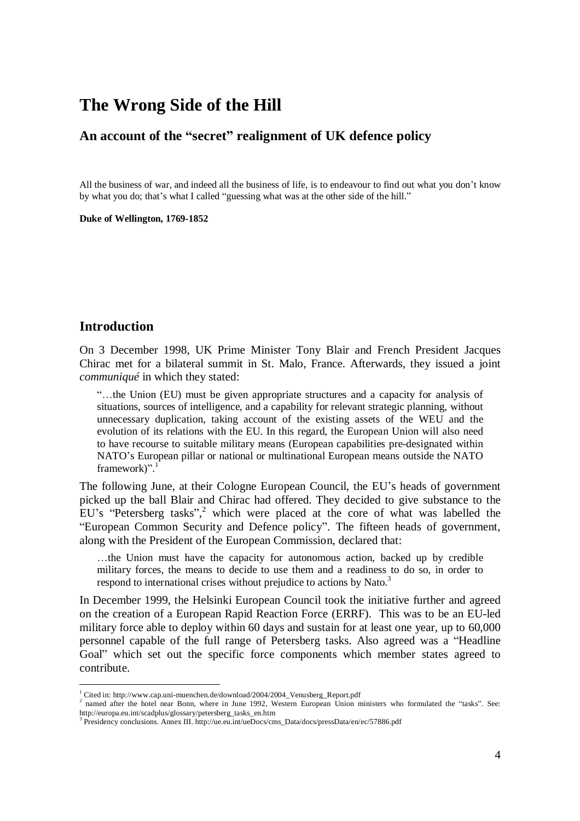### **The Wrong Side of the Hill**

#### **An account of the "secret" realignment of UK defence policy**

All the business of war, and indeed all the business of life, is to endeavour to find out what you don't know by what you do; that's what I called "guessing what was at the other side of the hill."

**Duke of Wellington, 1769-1852**

#### **Introduction**

On 3 December 1998, UK Prime Minister Tony Blair and French President Jacques Chirac met for a bilateral summit in St. Malo, France. Afterwards, they issued a joint *communiqué* in which they stated:

"…the Union (EU) must be given appropriate structures and a capacity for analysis of situations, sources of intelligence, and a capability for relevant strategic planning, without unnecessary duplication, taking account of the existing assets of the WEU and the evolution of its relations with the EU. In this regard, the European Union will also need to have recourse to suitable military means (European capabilities pre-designated within NATO's European pillar or national or multinational European means outside the NATO framework)". 1

The following June, at their Cologne European Council, the EU's heads of government picked up the ball Blair and Chirac had offered. They decided to give substance to the EU's "Petersberg tasks",<sup>2</sup> which were placed at the core of what was labelled the "European Common Security and Defence policy". The fifteen heads of government, along with the President of the European Commission, declared that:

…the Union must have the capacity for autonomous action, backed up by credible military forces, the means to decide to use them and a readiness to do so, in order to respond to international crises without prejudice to actions by Nato.<sup>3</sup>

In December 1999, the Helsinki European Council took the initiative further and agreed on the creation of a European Rapid Reaction Force (ERRF). This was to be an EU-led military force able to deploy within 60 days and sustain for at least one year, up to 60,000 personnel capable of the full range of Petersberg tasks. Also agreed was a "Headline Goal" which set out the specific force components which member states agreed to contribute.

<sup>&</sup>lt;sup>1</sup> Cited in: http://www.cap.uni-muenchen.de/download/2004/2004\_Venusberg\_Report.pdf

<sup>&</sup>lt;sup>2</sup> named after the hotel near Bonn, where in June 1992, Western European Union ministers who formulated the "tasks". See: http://europa.eu.int/scadplus/glossary/petersberg\_tasks\_en.htm

<sup>&</sup>lt;sup>3</sup> Presidency conclusions. Annex III. http://ue.eu.int/ueDocs/cms\_Data/docs/pressData/en/ec/57886.pdf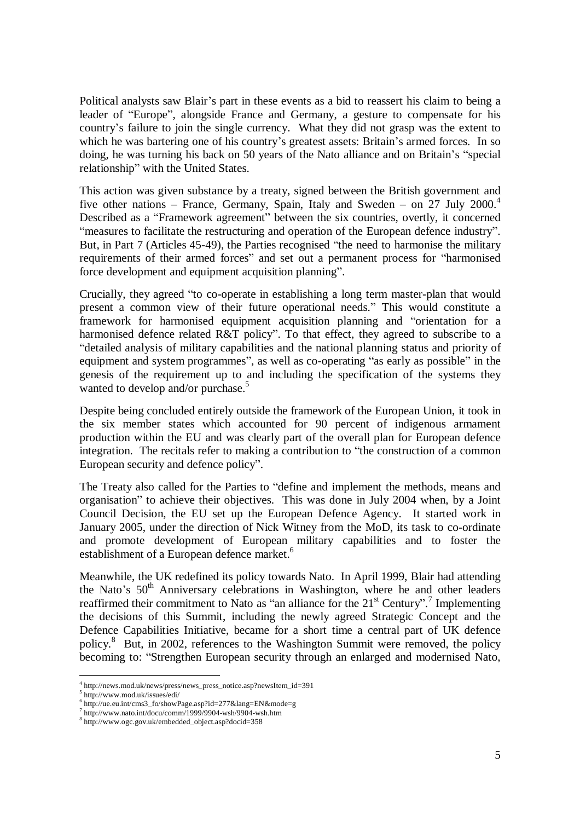Political analysts saw Blair's part in these events as a bid to reassert his claim to being a leader of "Europe", alongside France and Germany, a gesture to compensate for his country's failure to join the single currency. What they did not grasp was the extent to which he was bartering one of his country's greatest assets: Britain's armed forces. In so doing, he was turning his back on 50 years of the Nato alliance and on Britain's "special relationship" with the United States.

This action was given substance by a treaty, signed between the British government and five other nations – France, Germany, Spain, Italy and Sweden – on 27 July 2000.<sup>4</sup> Described as a "Framework agreement" between the six countries, overtly, it concerned "measures to facilitate the restructuring and operation of the European defence industry". But, in Part 7 (Articles 45-49), the Parties recognised "the need to harmonise the military requirements of their armed forces" and set out a permanent process for "harmonised force development and equipment acquisition planning".

Crucially, they agreed "to co-operate in establishing a long term master-plan that would present a common view of their future operational needs." This would constitute a framework for harmonised equipment acquisition planning and "orientation for a harmonised defence related R&T policy". To that effect, they agreed to subscribe to a "detailed analysis of military capabilities and the national planning status and priority of equipment and system programmes", as well as co-operating "as early as possible" in the genesis of the requirement up to and including the specification of the systems they wanted to develop and/or purchase.<sup>5</sup>

Despite being concluded entirely outside the framework of the European Union, it took in the six member states which accounted for 90 percent of indigenous armament production within the EU and was clearly part of the overall plan for European defence integration. The recitals refer to making a contribution to "the construction of a common European security and defence policy".

The Treaty also called for the Parties to "define and implement the methods, means and organisation" to achieve their objectives. This was done in July 2004 when, by a Joint Council Decision, the EU set up the European Defence Agency. It started work in January 2005, under the direction of Nick Witney from the MoD, its task to co-ordinate and promote development of European military capabilities and to foster the establishment of a European defence market.<sup>6</sup>

Meanwhile, the UK redefined its policy towards Nato. In April 1999, Blair had attending the Nato's  $50<sup>th</sup>$  Anniversary celebrations in Washington, where he and other leaders reaffirmed their commitment to Nato as "an alliance for the  $21<sup>st</sup>$  Century".<sup>7</sup> Implementing the decisions of this Summit, including the newly agreed Strategic Concept and the Defence Capabilities Initiative, became for a short time a central part of UK defence policy.<sup>8</sup> But, in 2002, references to the Washington Summit were removed, the policy becoming to: "Strengthen European security through an enlarged and modernised Nato,

 $^{4}$  http://news.mod.uk/news/press/news\_press\_notice.asp?newsItem\_id=391<br>5 http://www.mod.uk/jesusa/adj/

http://www.mod.uk/issues/edi/

<sup>6</sup> http://ue.eu.int/cms3\_fo/showPage.asp?id=277&lang=EN&mode=g

<sup>7</sup> http://www.nato.int/docu/comm/1999/9904-wsh/9904-wsh.htm

<sup>8</sup> http://www.ogc.gov.uk/embedded\_object.asp?docid=358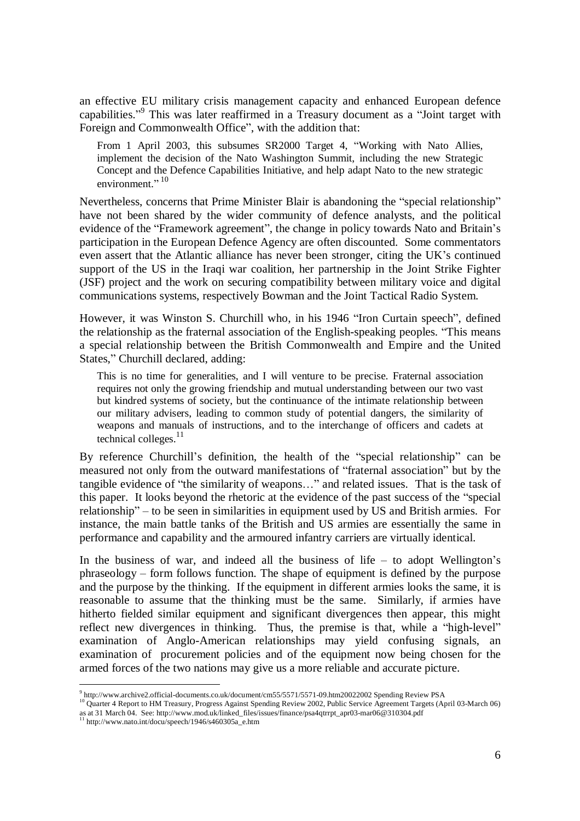an effective EU military crisis management capacity and enhanced European defence capabilities."<sup>9</sup> This was later reaffirmed in a Treasury document as a "Joint target with Foreign and Commonwealth Office", with the addition that:

From 1 April 2003, this subsumes SR2000 Target 4, "Working with Nato Allies, implement the decision of the Nato Washington Summit, including the new Strategic Concept and the Defence Capabilities Initiative, and help adapt Nato to the new strategic environment $^{10}$ 

Nevertheless, concerns that Prime Minister Blair is abandoning the "special relationship" have not been shared by the wider community of defence analysts, and the political evidence of the "Framework agreement", the change in policy towards Nato and Britain's participation in the European Defence Agency are often discounted. Some commentators even assert that the Atlantic alliance has never been stronger, citing the UK's continued support of the US in the Iraqi war coalition, her partnership in the Joint Strike Fighter (JSF) project and the work on securing compatibility between military voice and digital communications systems, respectively Bowman and the Joint Tactical Radio System.

However, it was Winston S. Churchill who, in his 1946 "Iron Curtain speech", defined the relationship as the fraternal association of the English-speaking peoples. "This means a special relationship between the British Commonwealth and Empire and the United States," Churchill declared, adding:

This is no time for generalities, and I will venture to be precise. Fraternal association requires not only the growing friendship and mutual understanding between our two vast but kindred systems of society, but the continuance of the intimate relationship between our military advisers, leading to common study of potential dangers, the similarity of weapons and manuals of instructions, and to the interchange of officers and cadets at technical colleges. $^{11}$ 

By reference Churchill's definition, the health of the "special relationship" can be measured not only from the outward manifestations of "fraternal association" but by the tangible evidence of "the similarity of weapons…" and related issues. That is the task of this paper. It looks beyond the rhetoric at the evidence of the past success of the "special relationship"– to be seen in similarities in equipment used by US and British armies. For instance, the main battle tanks of the British and US armies are essentially the same in performance and capability and the armoured infantry carriers are virtually identical.

In the business of war, and indeed all the business of life  $-$  to adopt Wellington's phraseology – form follows function. The shape of equipment is defined by the purpose and the purpose by the thinking. If the equipment in different armies looks the same, it is reasonable to assume that the thinking must be the same. Similarly, if armies have hitherto fielded similar equipment and significant divergences then appear, this might reflect new divergences in thinking. Thus, the premise is that, while a "high-level" examination of Anglo-American relationships may yield confusing signals, an examination of procurement policies and of the equipment now being chosen for the armed forces of the two nations may give us a more reliable and accurate picture.

<sup>&</sup>lt;sup>9</sup> http://www.archive2.official-documents.co.uk/document/cm55/5571/5571-09.htm20022002 Spending Review PSA<br><sup>10</sup> Quarter 4 Report to HM Treasury, Progress Against Spending Review 2002, Public Service Agreement Targets (Apr as at 31 March 04. See: http://www.mod.uk/linked\_files/issues/finance/psa4qtrrpt\_apr03-mar06@310304.pdf <sup>11</sup> http://www.nato.int/docu/speech/1946/s460305a\_e.htm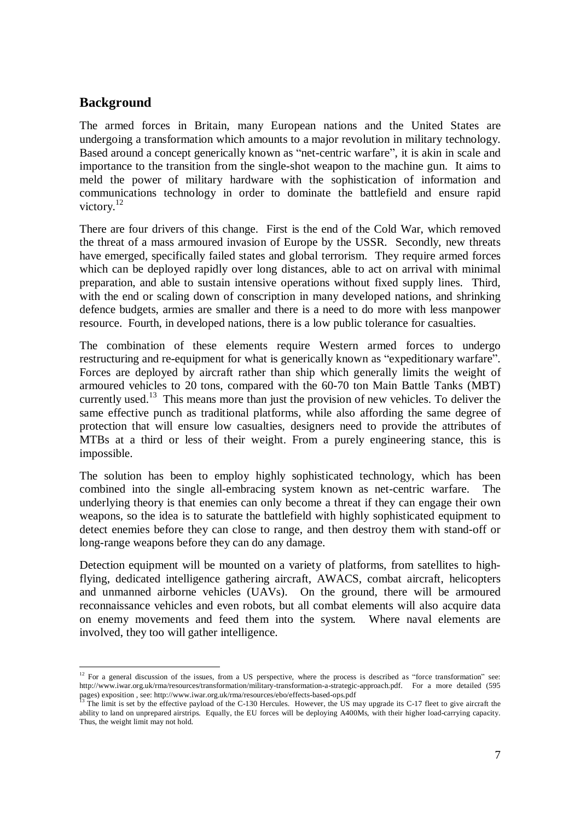#### **Background**

The armed forces in Britain, many European nations and the United States are undergoing a transformation which amounts to a major revolution in military technology. Based around a concept generically known as "net-centric warfare", it is akin in scale and importance to the transition from the single-shot weapon to the machine gun. It aims to meld the power of military hardware with the sophistication of information and communications technology in order to dominate the battlefield and ensure rapid victory.<sup>12</sup>

There are four drivers of this change. First is the end of the Cold War, which removed the threat of a mass armoured invasion of Europe by the USSR. Secondly, new threats have emerged, specifically failed states and global terrorism. They require armed forces which can be deployed rapidly over long distances, able to act on arrival with minimal preparation, and able to sustain intensive operations without fixed supply lines. Third, with the end or scaling down of conscription in many developed nations, and shrinking defence budgets, armies are smaller and there is a need to do more with less manpower resource. Fourth, in developed nations, there is a low public tolerance for casualties.

The combination of these elements require Western armed forces to undergo restructuring and re-equipment for what is generically known as "expeditionary warfare". Forces are deployed by aircraft rather than ship which generally limits the weight of armoured vehicles to 20 tons, compared with the 60-70 ton Main Battle Tanks (MBT) currently used.<sup>13</sup> This means more than just the provision of new vehicles. To deliver the same effective punch as traditional platforms, while also affording the same degree of protection that will ensure low casualties, designers need to provide the attributes of MTBs at a third or less of their weight. From a purely engineering stance, this is impossible.

The solution has been to employ highly sophisticated technology, which has been combined into the single all-embracing system known as net-centric warfare. The underlying theory is that enemies can only become a threat if they can engage their own weapons, so the idea is to saturate the battlefield with highly sophisticated equipment to detect enemies before they can close to range, and then destroy them with stand-off or long-range weapons before they can do any damage.

Detection equipment will be mounted on a variety of platforms, from satellites to highflying, dedicated intelligence gathering aircraft, AWACS, combat aircraft, helicopters and unmanned airborne vehicles (UAVs). On the ground, there will be armoured reconnaissance vehicles and even robots, but all combat elements will also acquire data on enemy movements and feed them into the system. Where naval elements are involved, they too will gather intelligence.

 $12$  For a general discussion of the issues, from a US perspective, where the process is described as "force transformation" see: http://www.iwar.org.uk/rma/resources/transformation/military-transformation-a-strategic-approach.pdf. For a more detailed (595 pages) exposition, see: http://www.iwar.org.uk/rma/resources/ebo/effects-based-ops.pdf<br><sup>13</sup> The limit is set by the effective payload of the C-130 Hercules. However, the US may upgrade its C-17 fleet to give aircraft the

ability to land on unprepared airstrips. Equally, the EU forces will be deploying A400Ms, with their higher load-carrying capacity. Thus, the weight limit may not hold.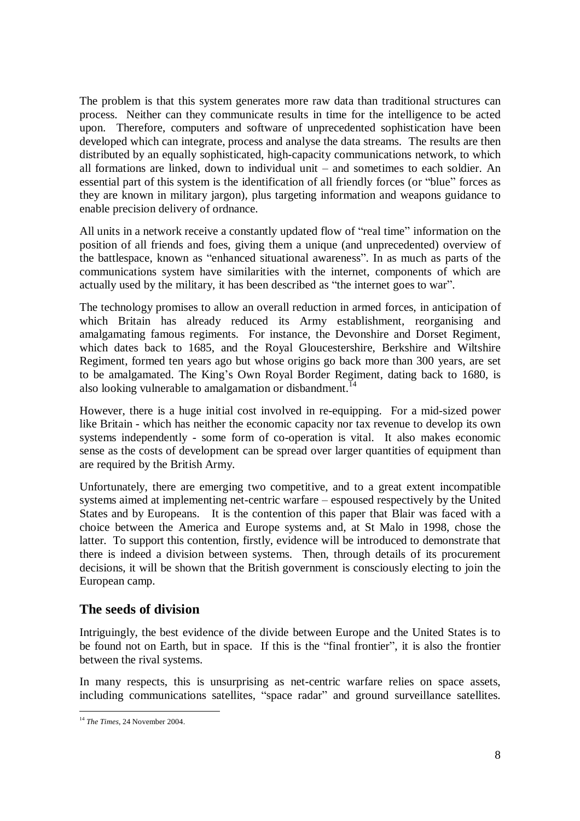The problem is that this system generates more raw data than traditional structures can process. Neither can they communicate results in time for the intelligence to be acted upon. Therefore, computers and software of unprecedented sophistication have been developed which can integrate, process and analyse the data streams. The results are then distributed by an equally sophisticated, high-capacity communications network, to which all formations are linked, down to individual unit – and sometimes to each soldier. An essential part of this system is the identification of all friendly forces (or "blue" forces as they are known in military jargon), plus targeting information and weapons guidance to enable precision delivery of ordnance.

All units in a network receive a constantly updated flow of "real time" information on the position of all friends and foes, giving them a unique (and unprecedented) overview of the battlespace, known as "enhanced situational awareness". In as much as parts of the communications system have similarities with the internet, components of which are actually used by the military, it has been described as "the internet goes to war".

The technology promises to allow an overall reduction in armed forces, in anticipation of which Britain has already reduced its Army establishment, reorganising and amalgamating famous regiments. For instance, the Devonshire and Dorset Regiment, which dates back to 1685, and the Royal Gloucestershire, Berkshire and Wiltshire Regiment, formed ten years ago but whose origins go back more than 300 years, are set to be amalgamated. The King's Own Royal Border Regiment, dating back to 1680, is also looking vulnerable to amalgamation or disbandment.<sup>14</sup>

However, there is a huge initial cost involved in re-equipping. For a mid-sized power like Britain - which has neither the economic capacity nor tax revenue to develop its own systems independently - some form of co-operation is vital. It also makes economic sense as the costs of development can be spread over larger quantities of equipment than are required by the British Army.

Unfortunately, there are emerging two competitive, and to a great extent incompatible systems aimed at implementing net-centric warfare – espoused respectively by the United States and by Europeans. It is the contention of this paper that Blair was faced with a choice between the America and Europe systems and, at St Malo in 1998, chose the latter. To support this contention, firstly, evidence will be introduced to demonstrate that there is indeed a division between systems. Then, through details of its procurement decisions, it will be shown that the British government is consciously electing to join the European camp.

#### **The seeds of division**

Intriguingly, the best evidence of the divide between Europe and the United States is to be found not on Earth, but in space. If this is the "final frontier", it is also the frontier between the rival systems.

In many respects, this is unsurprising as net-centric warfare relies on space assets, including communications satellites, "space radar" and ground surveillance satellites.

<sup>14</sup> *The Times*, 24 November 2004.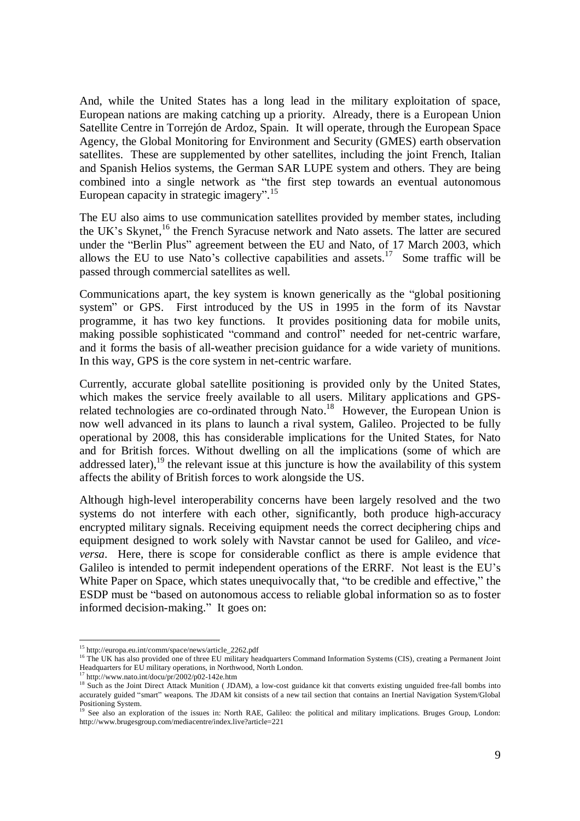And, while the United States has a long lead in the military exploitation of space, European nations are making catching up a priority. Already, there is a European Union Satellite Centre in Torrejón de Ardoz, Spain. It will operate, through the European Space Agency, the Global Monitoring for Environment and Security (GMES) earth observation satellites. These are supplemented by other satellites, including the joint French, Italian and Spanish Helios systems, the German SAR LUPE system and others. They are being combined into a single network as "the first step towards an eventual autonomous European capacity in strategic imagery". 15

The EU also aims to use communication satellites provided by member states, including the UK's Skynet,<sup>16</sup> the French Syracuse network and Nato assets. The latter are secured under the "Berlin Plus" agreement between the EU and Nato, of 17 March 2003, which allows the EU to use Nato's collective capabilities and assets.<sup>17</sup> Some traffic will be passed through commercial satellites as well.

Communications apart, the key system is known generically as the "global positioning system" or GPS. First introduced by the US in 1995 in the form of its Navstar programme, it has two key functions. It provides positioning data for mobile units, making possible sophisticated "command and control" needed for net-centric warfare, and it forms the basis of all-weather precision guidance for a wide variety of munitions. In this way, GPS is the core system in net-centric warfare.

Currently, accurate global satellite positioning is provided only by the United States, which makes the service freely available to all users. Military applications and GPSrelated technologies are co-ordinated through Nato.<sup>18</sup> However, the European Union is now well advanced in its plans to launch a rival system, Galileo. Projected to be fully operational by 2008, this has considerable implications for the United States, for Nato and for British forces. Without dwelling on all the implications (some of which are addressed later),  $19$  the relevant issue at this juncture is how the availability of this system affects the ability of British forces to work alongside the US.

Although high-level interoperability concerns have been largely resolved and the two systems do not interfere with each other, significantly, both produce high-accuracy encrypted military signals. Receiving equipment needs the correct deciphering chips and equipment designed to work solely with Navstar cannot be used for Galileo, and *viceversa*. Here, there is scope for considerable conflict as there is ample evidence that Galileo is intended to permit independent operations of the ERRF. Not least is the EU's White Paper on Space, which states unequivocally that, "to be credible and effective," the ESDP must be "based on autonomous access to reliable global information so as to foster informed decision-making." It goes on:

<sup>15</sup> http://europa.eu.int/comm/space/news/article\_2262.pdf

<sup>&</sup>lt;sup>16</sup> The UK has also provided one of three EU military headquarters Command Information Systems (CIS), creating a Permanent Joint Headquarters for EU military operations, in Northwood, North London.

 $17$  http://www.nato.int/docu/pr/2002/p02-142e.htm

<sup>&</sup>lt;sup>18</sup> Such as the Joint Direct Attack Munition (JDAM), a low-cost guidance kit that converts existing unguided free-fall bombs into accurately guided "smart" weapons. The JDAM kit consists of a new tail section that contains an Inertial Navigation System/Global Positioning System.

<sup>&</sup>lt;sup>19</sup> See also an exploration of the issues in: North RAE, Galileo: the political and military implications. Bruges Group, London: http://www.brugesgroup.com/mediacentre/index.live?article=221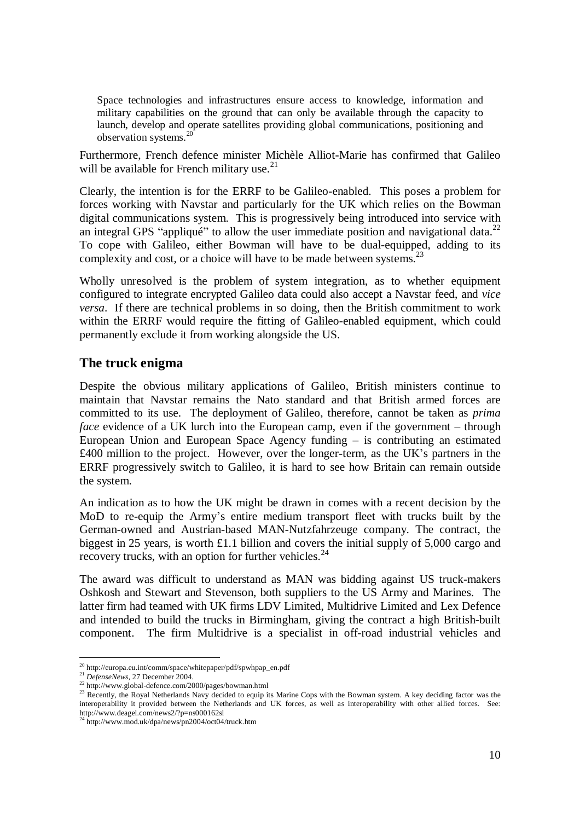Space technologies and infrastructures ensure access to knowledge, information and military capabilities on the ground that can only be available through the capacity to launch, develop and operate satellites providing global communications, positioning and observation systems.<sup>2</sup>

Furthermore, French defence minister Michèle Alliot-Marie has confirmed that Galileo will be available for French military use. $^{21}$ 

Clearly, the intention is for the ERRF to be Galileo-enabled. This poses a problem for forces working with Navstar and particularly for the UK which relies on the Bowman digital communications system. This is progressively being introduced into service with an integral GPS "appliqué" to allow the user immediate position and navigational data.<sup>22</sup> To cope with Galileo, either Bowman will have to be dual-equipped, adding to its complexity and cost, or a choice will have to be made between systems.<sup>23</sup>

Wholly unresolved is the problem of system integration, as to whether equipment configured to integrate encrypted Galileo data could also accept a Navstar feed, and *vice versa*. If there are technical problems in so doing, then the British commitment to work within the ERRF would require the fitting of Galileo-enabled equipment, which could permanently exclude it from working alongside the US.

#### **The truck enigma**

Despite the obvious military applications of Galileo, British ministers continue to maintain that Navstar remains the Nato standard and that British armed forces are committed to its use. The deployment of Galileo, therefore, cannot be taken as *prima face* evidence of a UK lurch into the European camp, even if the government – through European Union and European Space Agency funding – is contributing an estimated £400 million to the project. However, over the longer-term, as the UK's partners in the ERRF progressively switch to Galileo, it is hard to see how Britain can remain outside the system.

An indication as to how the UK might be drawn in comes with a recent decision by the MoD to re-equip the Army's entire medium transport fleet with trucks built by the German-owned and Austrian-based MAN-Nutzfahrzeuge company. The contract, the biggest in 25 years, is worth £1.1 billion and covers the initial supply of 5,000 cargo and recovery trucks, with an option for further vehicles.<sup>24</sup>

The award was difficult to understand as MAN was bidding against US truck-makers Oshkosh and Stewart and Stevenson, both suppliers to the US Army and Marines. The latter firm had teamed with UK firms LDV Limited, Multidrive Limited and Lex Defence and intended to build the trucks in Birmingham, giving the contract a high British-built component. The firm Multidrive is a specialist in off-road industrial vehicles and

 $\rm ^{20}$ http://europa.eu.int/comm/space/whitepaper/pdf/spwhpap\_en.pdf

<sup>&</sup>lt;sup>21</sup> *DefenseNews*, 27 December 2004.

<sup>22</sup> http://www.global-defence.com/2000/pages/bowman.html

<sup>&</sup>lt;sup>23</sup> Recently, the Royal Netherlands Navy decided to equip its Marine Cops with the Bowman system. A key deciding factor was the interoperability it provided between the Netherlands and UK forces, as well as interoperability with other allied forces. See: http://www.deagel.com/news2/?p=ns000162sl<br><sup>24</sup> http://www.mod.uk/dpa/news/pn2004/oct04/truck.htm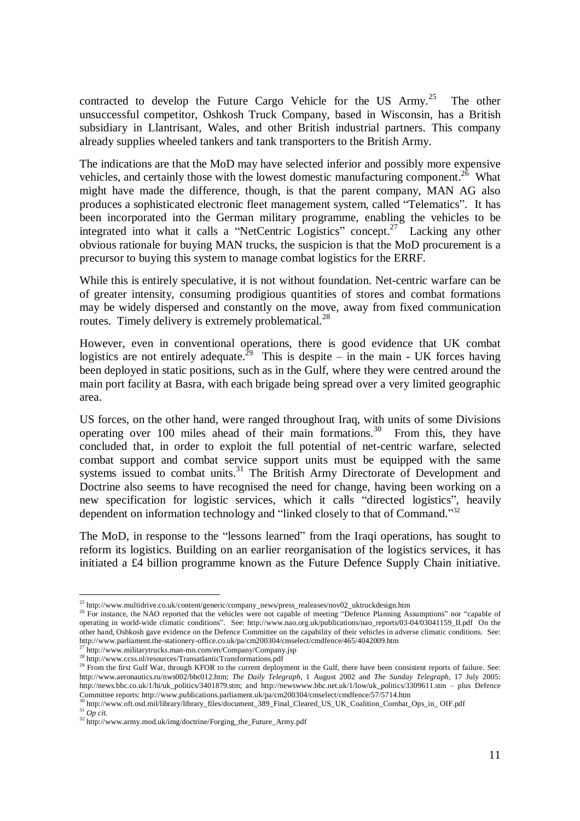contracted to develop the Future Cargo Vehicle for the US  $Army.^{25}$  The other unsuccessful competitor, Oshkosh Truck Company, based in Wisconsin, has a British subsidiary in Llantrisant, Wales, and other British industrial partners. This company already supplies wheeled tankers and tank transporters to the British Army.

The indications are that the MoD may have selected inferior and possibly more expensive vehicles, and certainly those with the lowest domestic manufacturing component.<sup>26</sup> What might have made the difference, though, is that the parent company, MAN AG also produces a sophisticated electronic fleet management system, called "Telematics". It has been incorporated into the German military programme, enabling the vehicles to be integrated into what it calls a "NetCentric Logistics" concept.<sup>27</sup> Lacking any other obvious rationale for buying MAN trucks, the suspicion is that the MoD procurement is a precursor to buying this system to manage combat logistics for the ERRF.

While this is entirely speculative, it is not without foundation. Net-centric warfare can be of greater intensity, consuming prodigious quantities of stores and combat formations may be widely dispersed and constantly on the move, away from fixed communication routes. Timely delivery is extremely problematical.<sup>28</sup>

However, even in conventional operations, there is good evidence that UK combat logistics are not entirely adequate.<sup>29</sup> This is despite – in the main - UK forces having been deployed in static positions, such as in the Gulf, where they were centred around the main port facility at Basra, with each brigade being spread over a very limited geographic area.

US forces, on the other hand, were ranged throughout Iraq, with units of some Divisions operating over 100 miles ahead of their main formations.<sup>30</sup> From this, they have concluded that, in order to exploit the full potential of net-centric warfare, selected combat support and combat service support units must be equipped with the same systems issued to combat units. $31$  The British Army Directorate of Development and Doctrine also seems to have recognised the need for change, having been working on a new specification for logistic services, which it calls "directed logistics", heavily dependent on information technology and "linked closely to that of Command."<sup>32</sup>

The MoD, in response to the "lessons learned" from the Iraqi operations, has sought to reform its logistics. Building on an earlier reorganisation of the logistics services, it has initiated a £4 billion programme known as the Future Defence Supply Chain initiative.

<sup>30</sup> http://www.oft.osd.mil/library/library\_files/document\_389\_Final\_Cleared\_US\_UK\_Coalition\_Combat\_Ops\_in\_OIF.pdf <sup>31</sup> *Op cit.*

<sup>25</sup> http://www.multidrive.co.uk/content/generic/company\_news/press\_realeases/nov02\_uktruckdesign.htm

<sup>&</sup>lt;sup>26</sup> For instance, the NAO reported that the vehicles were not capable of meeting "Defence Planning Assumptions" nor "capable of operating in world-wide climatic conditions". See: http://www.nao.org.uk/publications/nao\_reports/03-04/03041159\_II.pdf On the other hand, Oshkosh gave evidence on the Defence Committee on the capability of their vehicles in adverse climatic conditions. See: http://www.parliament.the-stationery-office.co.uk/pa/cm200304/cmselect/cmdfence/465/4042009.htm

 $27 \text{ http://www.military trucks.man-min.com/en/Company/Company.jsp}$ 

<sup>28</sup> http://www.ccss.nl/resources/TransatlanticTransformations.pdf

<sup>&</sup>lt;sup>29</sup> From the first Gulf War, through KFOR to the current deployment in the Gulf, there have been consistent reports of failure. See: http://www.aeronautics.ru/nws002/bbc012.htm; *The Daily Telegraph*, 1 August 2002 and *The Sunday Telegraph*, 17 July 2005: http://news.bbc.co.uk/1/hi/uk\_politics/3401879.stm; and http://newswww.bbc.net.uk/1/low/uk\_politics/3309611.stm – plus Defence Committee reports: http://www.publications.parliament.uk/pa/cm200304/cmselect/cmdfence/57/5714.htm

<sup>32</sup> http://www.army.mod.uk/img/doctrine/Forging\_the\_Future\_Army.pdf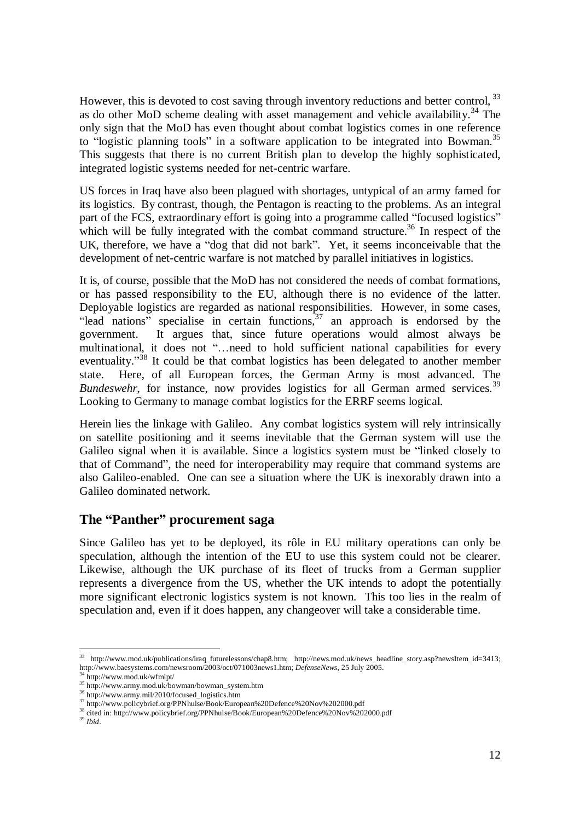However, this is devoted to cost saving through inventory reductions and better control.<sup>33</sup> as do other MoD scheme dealing with asset management and vehicle availability.<sup>34</sup> The only sign that the MoD has even thought about combat logistics comes in one reference to "logistic planning tools" in a software application to be integrated into Bowman.<sup>35</sup> This suggests that there is no current British plan to develop the highly sophisticated, integrated logistic systems needed for net-centric warfare.

US forces in Iraq have also been plagued with shortages, untypical of an army famed for its logistics. By contrast, though, the Pentagon is reacting to the problems. As an integral part of the FCS, extraordinary effort is going into a programme called "focused logistics" which will be fully integrated with the combat command structure.<sup>36</sup> In respect of the UK, therefore, we have a "dog that did not bark". Yet, it seems inconceivable that the development of net-centric warfare is not matched by parallel initiatives in logistics.

It is, of course, possible that the MoD has not considered the needs of combat formations, or has passed responsibility to the EU, although there is no evidence of the latter. Deployable logistics are regarded as national responsibilities. However, in some cases, "lead nations" specialise in certain functions, $37$  an approach is endorsed by the government. It argues that, since future operations would almost always be multinational, it does not "…need to hold sufficient national capabilities for every eventuality."<sup>38</sup> It could be that combat logistics has been delegated to another member state. Here, of all European forces, the German Army is most advanced. The *Bundeswehr*, for instance, now provides logistics for all German armed services.<sup>39</sup> Looking to Germany to manage combat logistics for the ERRF seems logical.

Herein lies the linkage with Galileo. Any combat logistics system will rely intrinsically on satellite positioning and it seems inevitable that the German system will use the Galileo signal when it is available. Since a logistics system must be "linked closely to that of Command", the need for interoperability may require that command systems are also Galileo-enabled. One can see a situation where the UK is inexorably drawn into a Galileo dominated network.

#### **The "Panther" procurement saga**

Since Galileo has yet to be deployed, its rôle in EU military operations can only be speculation, although the intention of the EU to use this system could not be clearer. Likewise, although the UK purchase of its fleet of trucks from a German supplier represents a divergence from the US, whether the UK intends to adopt the potentially more significant electronic logistics system is not known. This too lies in the realm of speculation and, even if it does happen, any changeover will take a considerable time.

<sup>33</sup> http://www.mod.uk/publications/iraq\_futurelessons/chap8.htm; http://news.mod.uk/news\_headline\_story.asp?newsItem\_id=3413; http://www.baesystems.com/newsroom/2003/oct/071003news1.htm; *DefenseNews*, 25 July 2005.

<sup>34</sup> http://www.mod.uk/wfmipt/

<sup>35</sup> http://www.army.mod.uk/bowman/bowman\_system.htm

<sup>36</sup> http://www.army.mil/2010/focused\_logistics.htm

<sup>&</sup>lt;sup>37</sup> http://www.policybrief.org/PPNhulse/Book/European%20Defence%20Nov%202000.pdf

<sup>38</sup> cited in: http://www.policybrief.org/PPNhulse/Book/European%20Defence%20Nov%202000.pdf <sup>39</sup> *Ibid*.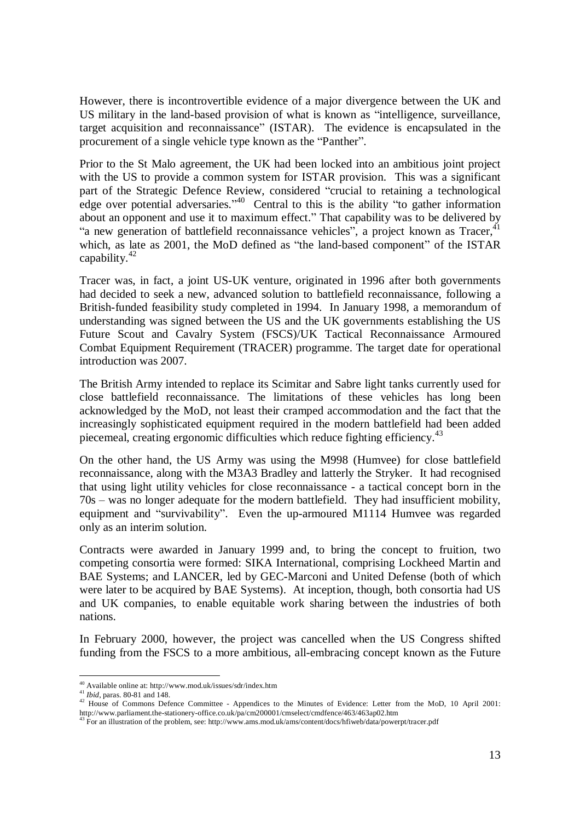However, there is incontrovertible evidence of a major divergence between the UK and US military in the land-based provision of what is known as "intelligence, surveillance, target acquisition and reconnaissance" (ISTAR). The evidence is encapsulated in the procurement of a single vehicle type known as the "Panther".

Prior to the St Malo agreement, the UK had been locked into an ambitious joint project with the US to provide a common system for ISTAR provision. This was a significant part of the Strategic Defence Review, considered "crucial to retaining a technological edge over potential adversaries."<sup>40</sup> Central to this is the ability "to gather information about an opponent and use it to maximum effect." That capability was to be delivered by "a new generation of battlefield reconnaissance vehicles", a project known as Tracer, $41$ which, as late as 2001, the MoD defined as "the land-based component" of the ISTAR capability. $42$ 

Tracer was, in fact, a joint US-UK venture, originated in 1996 after both governments had decided to seek a new, advanced solution to battlefield reconnaissance, following a British-funded feasibility study completed in 1994. In January 1998, a memorandum of understanding was signed between the US and the UK governments establishing the US Future Scout and Cavalry System (FSCS)/UK Tactical Reconnaissance Armoured Combat Equipment Requirement (TRACER) programme. The target date for operational introduction was 2007.

The British Army intended to replace its Scimitar and Sabre light tanks currently used for close battlefield reconnaissance. The limitations of these vehicles has long been acknowledged by the MoD, not least their cramped accommodation and the fact that the increasingly sophisticated equipment required in the modern battlefield had been added piecemeal, creating ergonomic difficulties which reduce fighting efficiency.<sup>43</sup>

On the other hand, the US Army was using the M998 (Humvee) for close battlefield reconnaissance, along with the M3A3 Bradley and latterly the Stryker. It had recognised that using light utility vehicles for close reconnaissance - a tactical concept born in the 70s – was no longer adequate for the modern battlefield. They had insufficient mobility, equipment and "survivability". Even the up-armoured M1114 Humvee was regarded only as an interim solution.

Contracts were awarded in January 1999 and, to bring the concept to fruition, two competing consortia were formed: SIKA International, comprising Lockheed Martin and BAE Systems; and LANCER, led by GEC-Marconi and United Defense (both of which were later to be acquired by BAE Systems). At inception, though, both consortia had US and UK companies, to enable equitable work sharing between the industries of both nations.

In February 2000, however, the project was cancelled when the US Congress shifted funding from the FSCS to a more ambitious, all-embracing concept known as the Future

 $^{40}$  Available online at: http://www.mod.uk/issues/sdr/index.htm

<sup>41</sup> *Ibid*, paras. 80-81 and 148.

<sup>&</sup>lt;sup>42</sup> House of Commons Defence Committee - Appendices to the Minutes of Evidence: Letter from the MoD, 10 April 2001: http://www.parliament.the-stationery-office.co.uk/pa/cm200001/cmselect/cmdfence/463/463ap02.htm<br>
<sup>43</sup> For an illustration of the maskless

 $3$  For an illustration of the problem, see: http://www.ams.mod.uk/ams/content/docs/hfiweb/data/powerpt/tracer.pdf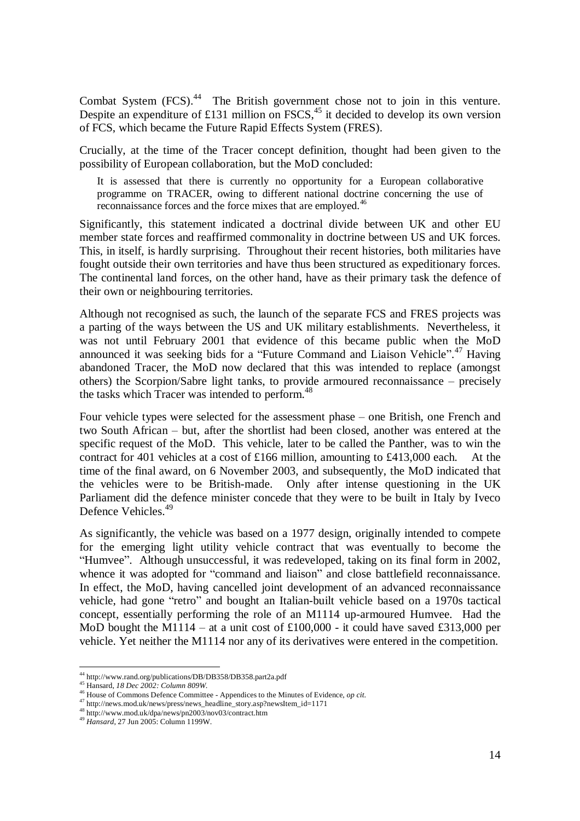Combat System (FCS).<sup>44</sup> The British government chose not to join in this venture. Despite an expenditure of £131 million on  $FSCS<sub>15</sub><sup>45</sup>$  it decided to develop its own version of FCS, which became the Future Rapid Effects System (FRES).

Crucially, at the time of the Tracer concept definition, thought had been given to the possibility of European collaboration, but the MoD concluded:

It is assessed that there is currently no opportunity for a European collaborative programme on TRACER, owing to different national doctrine concerning the use of reconnaissance forces and the force mixes that are employed.<sup>46</sup>

Significantly, this statement indicated a doctrinal divide between UK and other EU member state forces and reaffirmed commonality in doctrine between US and UK forces. This, in itself, is hardly surprising. Throughout their recent histories, both militaries have fought outside their own territories and have thus been structured as expeditionary forces. The continental land forces, on the other hand, have as their primary task the defence of their own or neighbouring territories.

Although not recognised as such, the launch of the separate FCS and FRES projects was a parting of the ways between the US and UK military establishments. Nevertheless, it was not until February 2001 that evidence of this became public when the MoD announced it was seeking bids for a "Future Command and Liaison Vehicle".<sup>47</sup> Having abandoned Tracer, the MoD now declared that this was intended to replace (amongst others) the Scorpion/Sabre light tanks, to provide armoured reconnaissance – precisely the tasks which Tracer was intended to perform.<sup>48</sup>

Four vehicle types were selected for the assessment phase – one British, one French and two South African – but, after the shortlist had been closed, another was entered at the specific request of the MoD. This vehicle, later to be called the Panther, was to win the contract for 401 vehicles at a cost of £166 million, amounting to £413,000 each. At the time of the final award, on 6 November 2003, and subsequently, the MoD indicated that the vehicles were to be British-made. Only after intense questioning in the UK Parliament did the defence minister concede that they were to be built in Italy by Iveco Defence Vehicles.<sup>49</sup>

As significantly, the vehicle was based on a 1977 design, originally intended to compete for the emerging light utility vehicle contract that was eventually to become the "Humvee". Although unsuccessful, it was redeveloped, taking on its final form in 2002, whence it was adopted for "command and liaison" and close battlefield reconnaissance. In effect, the MoD, having cancelled joint development of an advanced reconnaissance vehicle, had gone "retro" and bought an Italian-built vehicle based on a 1970s tactical concept, essentially performing the role of an M1114 up-armoured Humvee. Had the MoD bought the M1114 – at a unit cost of  $£100,000$  - it could have saved £313,000 per vehicle. Yet neither the M1114 nor any of its derivatives were entered in the competition.

<sup>44</sup> http://www.rand.org/publications/DB/DB358/DB358.part2a.pdf

<sup>45</sup> Hansard, *18 Dec 2002: Column 809W*.

<sup>46</sup> House of Commons Defence Committee - Appendices to the Minutes of Evidence, *op cit*.

<sup>&</sup>lt;sup>47</sup> http://news.mod.uk/news/press/news\_headline\_story.asp?newsItem\_id=1171

<sup>48</sup> http://www.mod.uk/dpa/news/pn2003/nov03/contract.htm

<sup>49</sup> *Hansard*, 27 Jun 2005: Column 1199W.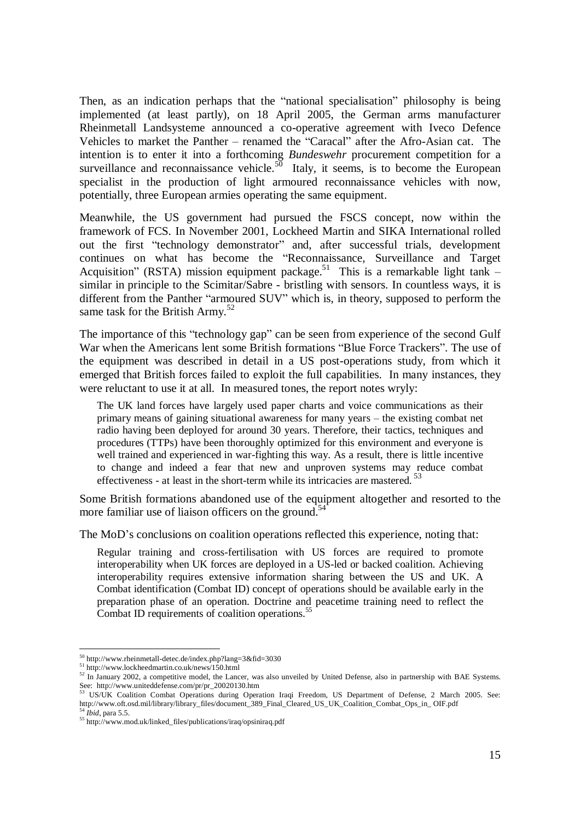Then, as an indication perhaps that the "national specialisation" philosophy is being implemented (at least partly), on 18 April 2005, the German arms manufacturer Rheinmetall Landsysteme announced a co-operative agreement with Iveco Defence Vehicles to market the Panther – renamed the "Caracal" after the Afro-Asian cat. The intention is to enter it into a forthcoming *Bundeswehr* procurement competition for a surveillance and reconnaissance vehicle.<sup>50</sup> Italy, it seems, is to become the European specialist in the production of light armoured reconnaissance vehicles with now, potentially, three European armies operating the same equipment.

Meanwhile, the US government had pursued the FSCS concept, now within the framework of FCS. In November 2001, Lockheed Martin and SIKA International rolled out the first "technology demonstrator" and, after successful trials, development continues on what has become the "Reconnaissance, Surveillance and Target Acquisition" (RSTA) mission equipment package.<sup>51</sup> This is a remarkable light tank – similar in principle to the Scimitar/Sabre - bristling with sensors. In countless ways, it is different from the Panther "armoured SUV" which is, in theory, supposed to perform the same task for the British Army.<sup>52</sup>

The importance of this "technology gap" can be seen from experience of the second Gulf War when the Americans lent some British formations "Blue Force Trackers". The use of the equipment was described in detail in a US post-operations study, from which it emerged that British forces failed to exploit the full capabilities. In many instances, they were reluctant to use it at all. In measured tones, the report notes wryly:

The UK land forces have largely used paper charts and voice communications as their primary means of gaining situational awareness for many years – the existing combat net radio having been deployed for around 30 years. Therefore, their tactics, techniques and procedures (TTPs) have been thoroughly optimized for this environment and everyone is well trained and experienced in war-fighting this way. As a result, there is little incentive to change and indeed a fear that new and unproven systems may reduce combat effectiveness - at least in the short-term while its intricacies are mastered.<sup>53</sup>

Some British formations abandoned use of the equipment altogether and resorted to the more familiar use of liaison officers on the ground.<sup>54</sup>

The MoD's conclusions on coalition operations reflected this experience, noting that:

Regular training and cross-fertilisation with US forces are required to promote interoperability when UK forces are deployed in a US-led or backed coalition. Achieving interoperability requires extensive information sharing between the US and UK. A Combat identification (Combat ID) concept of operations should be available early in the preparation phase of an operation. Doctrine and peacetime training need to reflect the Combat ID requirements of coalition operations.<sup>55</sup>

<sup>50</sup> http://www.rheinmetall-detec.de/index.php?lang=3&fid=3030

<sup>&</sup>lt;sup>51</sup> http://www.lockheedmartin.co.uk/news/150.html

<sup>&</sup>lt;sup>52</sup> In January 2002, a competitive model, the Lancer, was also unveiled by United Defense, also in partnership with BAE Systems. See: http://www.uniteddefense.com/pr/pr\_20020130.htm<br><sup>53</sup> US/UK Coalition Combat Operations during Operation Iraqi Freedom, US Department of Defense, 2 March 2005. See:

http://www.oft.osd.mil/library/library\_files/document\_389\_Final\_Cleared\_US\_UK\_Coalition\_Combat\_Ops\_in\_OIF.pdf <sup>54</sup> *Ibid*, para 5.5.

<sup>55</sup> http://www.mod.uk/linked\_files/publications/iraq/opsiniraq.pdf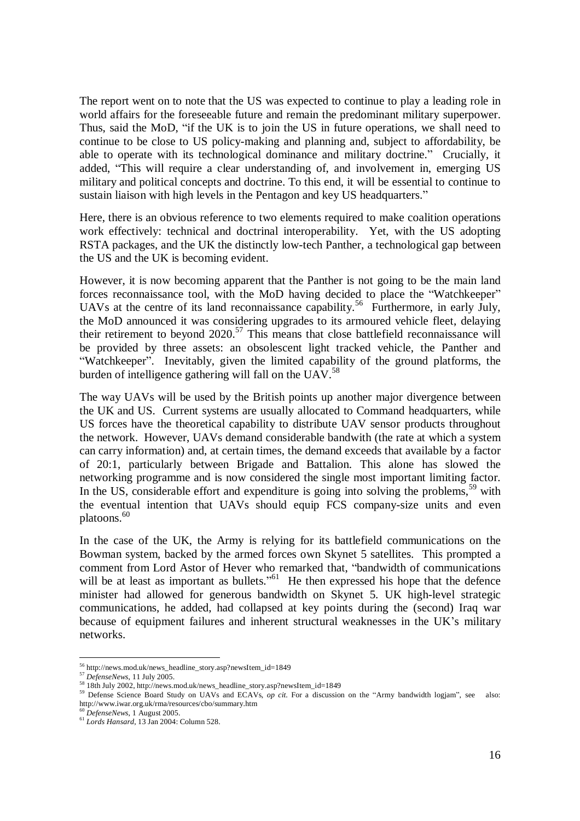The report went on to note that the US was expected to continue to play a leading role in world affairs for the foreseeable future and remain the predominant military superpower. Thus, said the MoD, "if the UK is to join the US in future operations, we shall need to continue to be close to US policy-making and planning and, subject to affordability, be able to operate with its technological dominance and military doctrine." Crucially, it added, "This will require a clear understanding of, and involvement in, emerging US military and political concepts and doctrine. To this end, it will be essential to continue to sustain liaison with high levels in the Pentagon and key US headquarters."

Here, there is an obvious reference to two elements required to make coalition operations work effectively: technical and doctrinal interoperability. Yet, with the US adopting RSTA packages, and the UK the distinctly low-tech Panther, a technological gap between the US and the UK is becoming evident.

However, it is now becoming apparent that the Panther is not going to be the main land forces reconnaissance tool, with the MoD having decided to place the "Watchkeeper" UAVs at the centre of its land reconnaissance capability.<sup>56</sup> Furthermore, in early July, the MoD announced it was considering upgrades to its armoured vehicle fleet, delaying their retirement to beyond  $2020$ .<sup>57</sup> This means that close battlefield reconnaissance will be provided by three assets: an obsolescent light tracked vehicle, the Panther and "Watchkeeper". Inevitably, given the limited capability of the ground platforms, the burden of intelligence gathering will fall on the UAV.<sup>58</sup>

The way UAVs will be used by the British points up another major divergence between the UK and US. Current systems are usually allocated to Command headquarters, while US forces have the theoretical capability to distribute UAV sensor products throughout the network. However, UAVs demand considerable bandwith (the rate at which a system can carry information) and, at certain times, the demand exceeds that available by a factor of 20:1, particularly between Brigade and Battalion. This alone has slowed the networking programme and is now considered the single most important limiting factor. In the US, considerable effort and expenditure is going into solving the problems,<sup>59</sup> with the eventual intention that UAVs should equip FCS company-size units and even platoons.<sup>60</sup>

In the case of the UK, the Army is relying for its battlefield communications on the Bowman system, backed by the armed forces own Skynet 5 satellites. This prompted a comment from Lord Astor of Hever who remarked that, "bandwidth of communications will be at least as important as bullets."<sup>61</sup> He then expressed his hope that the defence minister had allowed for generous bandwidth on Skynet 5. UK high-level strategic communications, he added, had collapsed at key points during the (second) Iraq war because of equipment failures and inherent structural weaknesses in the UK's military networks.

<sup>56</sup> http://news.mod.uk/news\_headline\_story.asp?newsItem\_id=1849

<sup>57</sup> *DefenseNews*, 11 July 2005.

<sup>58</sup> 18th July 2002, http://news.mod.uk/news\_headline\_story.asp?newsItem\_id=1849

<sup>59</sup> Defense Science Board Study on UAVs and ECAVs, *op cit*. For a discussion on the "Army bandwidth logjam", see also: http://www.iwar.org.uk/rma/resources/cbo/summary.htm

<sup>60</sup> *DefenseNews*, 1 August 2005.

<sup>61</sup> *Lords Hansard*, 13 Jan 2004: Column 528.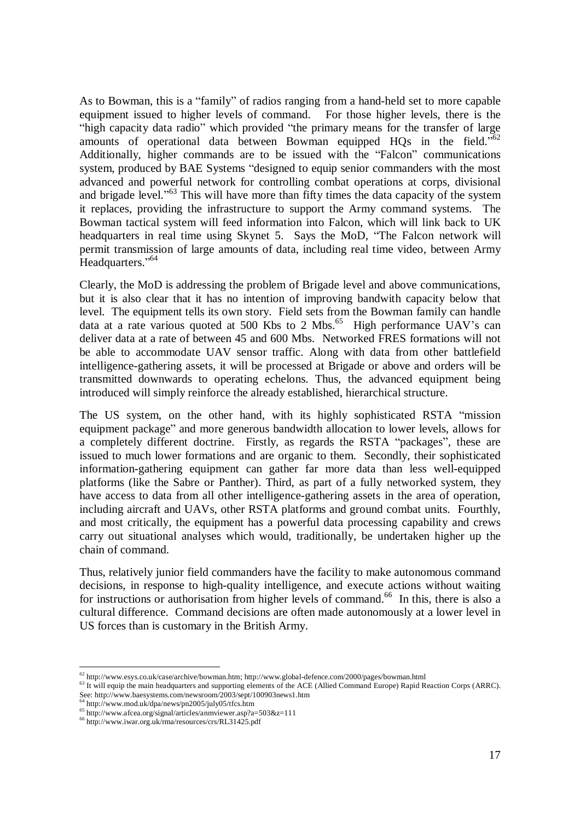As to Bowman, this is a "family" of radios ranging from a hand-held set to more capable equipment issued to higher levels of command. For those higher levels, there is the "high capacity data radio" which provided "the primary means for the transfer of large amounts of operational data between Bowman equipped HQs in the field."<sup>62</sup> Additionally, higher commands are to be issued with the "Falcon" communications system, produced by BAE Systems "designed to equip senior commanders with the most advanced and powerful network for controlling combat operations at corps, divisional and brigade level."<sup>63</sup> This will have more than fifty times the data capacity of the system it replaces, providing the infrastructure to support the Army command systems. The Bowman tactical system will feed information into Falcon, which will link back to UK headquarters in real time using Skynet 5. Says the MoD, "The Falcon network will permit transmission of large amounts of data, including real time video, between Army Headquarters."<sup>64</sup>

Clearly, the MoD is addressing the problem of Brigade level and above communications, but it is also clear that it has no intention of improving bandwith capacity below that level. The equipment tells its own story. Field sets from the Bowman family can handle data at a rate various quoted at 500 Kbs to 2 Mbs.<sup>65</sup> High performance UAV's can deliver data at a rate of between 45 and 600 Mbs. Networked FRES formations will not be able to accommodate UAV sensor traffic. Along with data from other battlefield intelligence-gathering assets, it will be processed at Brigade or above and orders will be transmitted downwards to operating echelons. Thus, the advanced equipment being introduced will simply reinforce the already established, hierarchical structure.

The US system, on the other hand, with its highly sophisticated RSTA "mission equipment package" and more generous bandwidth allocation to lower levels, allows for a completely different doctrine. Firstly, as regards the RSTA "packages", these are issued to much lower formations and are organic to them. Secondly, their sophisticated information-gathering equipment can gather far more data than less well-equipped platforms (like the Sabre or Panther). Third, as part of a fully networked system, they have access to data from all other intelligence-gathering assets in the area of operation, including aircraft and UAVs, other RSTA platforms and ground combat units. Fourthly, and most critically, the equipment has a powerful data processing capability and crews carry out situational analyses which would, traditionally, be undertaken higher up the chain of command.

Thus, relatively junior field commanders have the facility to make autonomous command decisions, in response to high-quality intelligence, and execute actions without waiting for instructions or authorisation from higher levels of command.<sup>66</sup> In this, there is also a cultural difference. Command decisions are often made autonomously at a lower level in US forces than is customary in the British Army.

<sup>62</sup> http://www.esys.co.uk/case/archive/bowman.htm; http://www.global-defence.com/2000/pages/bowman.html

<sup>&</sup>lt;sup>63</sup> It will equip the main headquarters and supporting elements of the ACE (Allied Command Europe) Rapid Reaction Corps (ARRC). See: http://www.baesystems.com/newsroom/2003/sept/100903news1.htm <sup>64</sup> http://www.mod.uk/dpa/news/pn2005/july05/tfcs.htm

<sup>65</sup> http://www.afcea.org/signal/articles/anmviewer.asp?a=503&z=111

<sup>66</sup> http://www.iwar.org.uk/rma/resources/crs/RL31425.pdf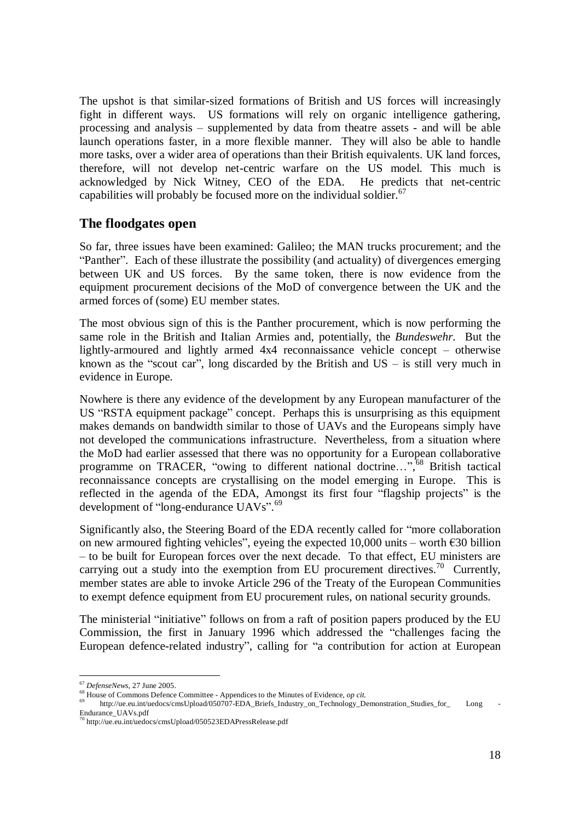The upshot is that similar-sized formations of British and US forces will increasingly fight in different ways. US formations will rely on organic intelligence gathering, processing and analysis – supplemented by data from theatre assets - and will be able launch operations faster, in a more flexible manner. They will also be able to handle more tasks, over a wider area of operations than their British equivalents. UK land forces, therefore, will not develop net-centric warfare on the US model. This much is acknowledged by Nick Witney, CEO of the EDA. He predicts that net-centric capabilities will probably be focused more on the individual soldier.<sup>67</sup>

#### **The floodgates open**

So far, three issues have been examined: Galileo; the MAN trucks procurement; and the "Panther". Each of these illustrate the possibility (and actuality) of divergences emerging between UK and US forces. By the same token, there is now evidence from the equipment procurement decisions of the MoD of convergence between the UK and the armed forces of (some) EU member states.

The most obvious sign of this is the Panther procurement, which is now performing the same role in the British and Italian Armies and, potentially, the *Bundeswehr*. But the lightly-armoured and lightly armed 4x4 reconnaissance vehicle concept – otherwise known as the "scout car", long discarded by the British and  $US -$  is still very much in evidence in Europe.

Nowhere is there any evidence of the development by any European manufacturer of the US "RSTA equipment package" concept. Perhaps this is unsurprising as this equipment makes demands on bandwidth similar to those of UAVs and the Europeans simply have not developed the communications infrastructure. Nevertheless, from a situation where the MoD had earlier assessed that there was no opportunity for a European collaborative programme on TRACER, "owing to different national doctrine...",<sup>68</sup> British tactical reconnaissance concepts are crystallising on the model emerging in Europe. This is reflected in the agenda of the EDA, Amongst its first four "flagship projects" is the development of "long-endurance UAVs".<sup>69</sup>

Significantly also, the Steering Board of the EDA recently called for "more collaboration on new armoured fighting vehicles", eyeing the expected 10,000 units – worth  $\epsilon$ 30 billion – to be built for European forces over the next decade. To that effect, EU ministers are carrying out a study into the exemption from EU procurement directives.<sup>70</sup> Currently, member states are able to invoke Article 296 of the Treaty of the European Communities to exempt defence equipment from EU procurement rules, on national security grounds.

The ministerial "initiative" follows on from a raft of position papers produced by the EU Commission, the first in January 1996 which addressed the "challenges facing the European defence-related industry", calling for "a contribution for action at European

<sup>67</sup> *DefenseNews*, 27 June 2005.

<sup>68</sup> House of Commons Defence Committee - Appendices to the Minutes of Evidence, *op cit.*

http://ue.eu.int/uedocs/cmsUpload/050707-EDA Briefs Industry on Technology Demonstration Studies for Long Endurance\_UAVs.pdf

<sup>70</sup> http://ue.eu.int/uedocs/cmsUpload/050523EDAPressRelease.pdf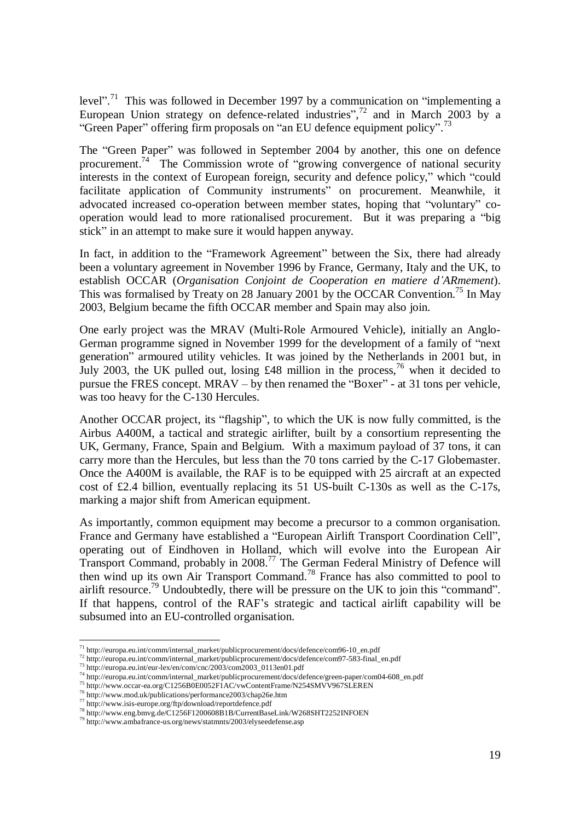level".<sup>71</sup> This was followed in December 1997 by a communication on "implementing a European Union strategy on defence-related industries", $72$  and in March 2003 by a "Green Paper" offering firm proposals on "an EU defence equipment policy".<sup>73</sup>

The "Green Paper" was followed in September 2004 by another, this one on defence procurement.<sup>74</sup> The Commission wrote of "growing convergence of national security interests in the context of European foreign, security and defence policy," which "could facilitate application of Community instruments" on procurement. Meanwhile, it advocated increased co-operation between member states, hoping that "voluntary" cooperation would lead to more rationalised procurement. But it was preparing a "big stick" in an attempt to make sure it would happen anyway.

In fact, in addition to the "Framework Agreement" between the Six, there had already been a voluntary agreement in November 1996 by France, Germany, Italy and the UK, to establish OCCAR (*Organisation Conjoint de Cooperation en matiere d'ARmement*). This was formalised by Treaty on 28 January 2001 by the OCCAR Convention.<sup>75</sup> In May 2003, Belgium became the fifth OCCAR member and Spain may also join.

One early project was the MRAV (Multi-Role Armoured Vehicle), initially an Anglo-German programme signed in November 1999 for the development of a family of "next generation" armoured utility vehicles. It was joined by the Netherlands in 2001 but, in July 2003, the UK pulled out, losing  $\text{\pounds}48$  million in the process, <sup>76</sup> when it decided to pursue the FRES concept. MRAV – by then renamed the "Boxer" - at 31 tons per vehicle, was too heavy for the C-130 Hercules.

Another OCCAR project, its "flagship", to which the UK is now fully committed, is the Airbus A400M, a tactical and strategic airlifter, built by a consortium representing the UK, Germany, France, Spain and Belgium. With a maximum payload of 37 tons, it can carry more than the Hercules, but less than the 70 tons carried by the C-17 Globemaster. Once the A400M is available, the RAF is to be equipped with 25 aircraft at an expected cost of £2.4 billion, eventually replacing its 51 US-built C-130s as well as the C-17s, marking a major shift from American equipment.

As importantly, common equipment may become a precursor to a common organisation. France and Germany have established a "European Airlift Transport Coordination Cell", operating out of Eindhoven in Holland, which will evolve into the European Air Transport Command, probably in 2008.<sup>77</sup> The German Federal Ministry of Defence will then wind up its own Air Transport Command.<sup>78</sup> France has also committed to pool to airlift resource.<sup>79</sup> Undoubtedly, there will be pressure on the UK to join this "command". If that happens, control of the RAF's strategic and tactical airlift capability will be subsumed into an EU-controlled organisation.

<sup>&</sup>lt;sup>71</sup> http://europa.eu.int/comm/internal\_market/publicprocurement/docs/defence/com96-10\_en.pdf

<sup>&</sup>lt;sup>72</sup> http://europa.eu.int/comm/internal\_market/publicprocurement/docs/defence/com97-583-final\_en.pdf

 $^{73}$  http://europa.eu.int/eur-lex/en/com/cnc/2003/com2003\_0113en01.pdf

<sup>&</sup>lt;sup>74</sup> http://europa.eu.int/comm/internal\_market/publicprocurement/docs/defence/green-paper/com04-608\_en.pdf

<sup>75</sup> http://www.occar-ea.org/C1256B0E0052F1AC/vwContentFrame/N254SMVV967SLEREN

<sup>76</sup> http://www.mod.uk/publications/performance2003/chap26e.htm

<sup>77</sup> http://www.isis-europe.org/ftp/download/reportdefence.pdf

<sup>78</sup> http://www.eng.bmvg.de/C1256F1200608B1B/CurrentBaseLink/W268SHT2252INFOEN

<sup>79</sup> http://www.ambafrance-us.org/news/statmnts/2003/elyseedefense.asp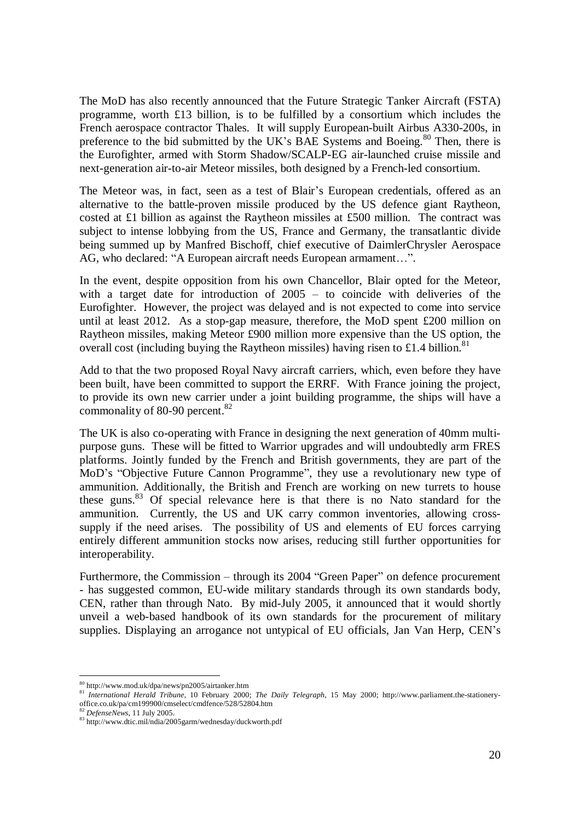The MoD has also recently announced that the Future Strategic Tanker Aircraft (FSTA) programme, worth  $£13$  billion, is to be fulfilled by a consortium which includes the French aerospace contractor Thales. It will supply European-built Airbus A330-200s, in preference to the bid submitted by the UK's BAE Systems and Boeing.<sup>80</sup> Then, there is the Eurofighter, armed with Storm Shadow/SCALP-EG air-launched cruise missile and next-generation air-to-air Meteor missiles, both designed by a French-led consortium.

The Meteor was, in fact, seen as a test of Blair's European credentials, offered as an alternative to the battle-proven missile produced by the US defence giant Raytheon, costed at £1 billion as against the Raytheon missiles at £500 million. The contract was subject to intense lobbying from the US, France and Germany, the transatlantic divide being summed up by Manfred Bischoff, chief executive of DaimlerChrysler Aerospace AG, who declared: "A European aircraft needs European armament…".

In the event, despite opposition from his own Chancellor, Blair opted for the Meteor, with a target date for introduction of 2005 – to coincide with deliveries of the Eurofighter. However, the project was delayed and is not expected to come into service until at least 2012. As a stop-gap measure, therefore, the MoD spent £200 million on Raytheon missiles, making Meteor £900 million more expensive than the US option, the overall cost (including buying the Raytheon missiles) having risen to £1.4 billion.<sup>81</sup>

Add to that the two proposed Royal Navy aircraft carriers, which, even before they have been built, have been committed to support the ERRF. With France joining the project, to provide its own new carrier under a joint building programme, the ships will have a commonality of 80-90 percent. $82$ 

The UK is also co-operating with France in designing the next generation of 40mm multipurpose guns. These will be fitted to Warrior upgrades and will undoubtedly arm FRES platforms. Jointly funded by the French and British governments, they are part of the MoD's "Objective Future Cannon Programme", they use a revolutionary new type of ammunition. Additionally, the British and French are working on new turrets to house these guns. $83$  Of special relevance here is that there is no Nato standard for the ammunition. Currently, the US and UK carry common inventories, allowing crosssupply if the need arises. The possibility of US and elements of EU forces carrying entirely different ammunition stocks now arises, reducing still further opportunities for interoperability.

Furthermore, the Commission – through its 2004 "Green Paper" on defence procurement - has suggested common, EU-wide military standards through its own standards body, CEN, rather than through Nato. By mid-July 2005, it announced that it would shortly unveil a web-based handbook of its own standards for the procurement of military supplies. Displaying an arrogance not untypical of EU officials, Jan Van Herp, CEN's

<sup>80</sup> http://www.mod.uk/dpa/news/pn2005/airtanker.htm

<sup>81</sup> *International Herald Tribune*, 10 February 2000; *The Daily Telegraph*, 15 May 2000; http://www.parliament.the-stationeryoffice.co.uk/pa/cm199900/cmselect/cmdfence/528/52804.htm

<sup>82</sup> *DefenseNews*, 11 July 2005.

<sup>83</sup> http://www.dtic.mil/ndia/2005garm/wednesday/duckworth.pdf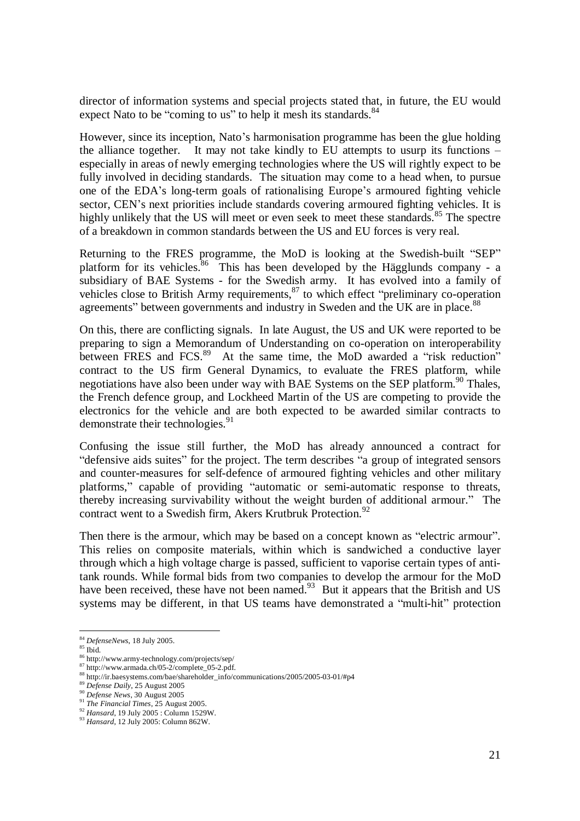director of information systems and special projects stated that, in future, the EU would expect Nato to be "coming to us" to help it mesh its standards.<sup>84</sup>

However, since its inception, Nato's harmonisation programme has been the glue holding the alliance together. It may not take kindly to EU attempts to usurp its functions – especially in areas of newly emerging technologies where the US will rightly expect to be fully involved in deciding standards. The situation may come to a head when, to pursue one of the EDA's long-term goals of rationalising Europe's armoured fighting vehicle sector, CEN's next priorities include standards covering armoured fighting vehicles. It is highly unlikely that the US will meet or even seek to meet these standards.<sup>85</sup> The spectre of a breakdown in common standards between the US and EU forces is very real.

Returning to the FRES programme, the MoD is looking at the Swedish-built "SEP" platform for its vehicles.<sup>86</sup> This has been developed by the Hägglunds company - a subsidiary of BAE Systems - for the Swedish army. It has evolved into a family of vehicles close to British Army requirements,<sup>87</sup> to which effect "preliminary co-operation" agreements" between governments and industry in Sweden and the UK are in place.<sup>88</sup>

On this, there are conflicting signals. In late August, the US and UK were reported to be preparing to sign a Memorandum of Understanding on co-operation on interoperability between FRES and FCS. $^{89}$  At the same time, the MoD awarded a "risk reduction" contract to the US firm General Dynamics, to evaluate the FRES platform, while negotiations have also been under way with BAE Systems on the SEP platform.<sup>90</sup> Thales, the French defence group, and Lockheed Martin of the US are competing to provide the electronics for the vehicle and are both expected to be awarded similar contracts to demonstrate their technologies. $91$ 

Confusing the issue still further, the MoD has already announced a contract for "defensive aids suites" for the project. The term describes "a group of integrated sensors and counter-measures for self-defence of armoured fighting vehicles and other military platforms," capable of providing "automatic or semi-automatic response to threats, thereby increasing survivability without the weight burden of additional armour." The contract went to a Swedish firm, Akers Krutbruk Protection.<sup>92</sup>

Then there is the armour, which may be based on a concept known as "electric armour". This relies on composite materials, within which is sandwiched a conductive layer through which a high voltage charge is passed, sufficient to vaporise certain types of antitank rounds. While formal bids from two companies to develop the armour for the MoD have been received, these have not been named. $93$  But it appears that the British and US systems may be different, in that US teams have demonstrated a "multi-hit" protection

<sup>84</sup> *DefenseNews*, 18 July 2005.

 $85$  Ibid.

<sup>86</sup> http://www.army-technology.com/projects/sep/

 $87 \frac{\text{http://www.armada.ch/05-2/complete_05-2.pdf.}}{271 \frac{\text{http://www.armada.ch/05-2/complete_05-2.pdf.}}$ 

<sup>88</sup> http://ir.baesystems.com/bae/shareholder\_info/communications/2005/2005-03-01/#p4

<sup>89</sup> *Defense Daily*, 25 August 2005

<sup>90</sup> *Defense News*, 30 August 2005

<sup>91</sup> *The Financial Times*, 25 August 2005.

<sup>92</sup> *Hansard*, 19 July 2005 : Column 1529W.

<sup>93</sup> *Hansard*, 12 July 2005: Column 862W.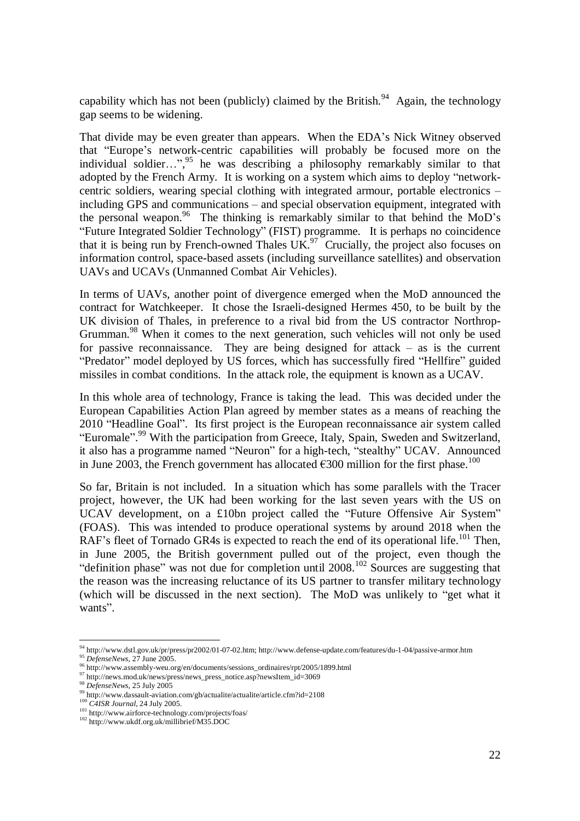capability which has not been (publicly) claimed by the British.<sup>94</sup> Again, the technology gap seems to be widening.

That divide may be even greater than appears. When the EDA's Nick Witney observed that "Europe's network-centric capabilities will probably be focused more on the individual soldier...",<sup>95</sup> he was describing a philosophy remarkably similar to that adopted by the French Army. It is working on a system which aims to deploy "networkcentric soldiers, wearing special clothing with integrated armour, portable electronics – including GPS and communications – and special observation equipment, integrated with the personal weapon.<sup>96</sup> The thinking is remarkably similar to that behind the MoD's "Future Integrated Soldier Technology" (FIST) programme. It is perhaps no coincidence that it is being run by French-owned Thales  $UK<sup>97</sup>$  Crucially, the project also focuses on information control, space-based assets (including surveillance satellites) and observation UAVs and UCAVs (Unmanned Combat Air Vehicles).

In terms of UAVs, another point of divergence emerged when the MoD announced the contract for Watchkeeper. It chose the Israeli-designed Hermes 450, to be built by the UK division of Thales, in preference to a rival bid from the US contractor Northrop-Grumman.<sup>98</sup> When it comes to the next generation, such vehicles will not only be used for passive reconnaissance. They are being designed for attack – as is the current "Predator" model deployed by US forces, which has successfully fired "Hellfire" guided missiles in combat conditions. In the attack role, the equipment is known as a UCAV.

In this whole area of technology, France is taking the lead. This was decided under the European Capabilities Action Plan agreed by member states as a means of reaching the 2010 "Headline Goal". Its first project is the European reconnaissance air system called "Euromale".<sup>99</sup> With the participation from Greece, Italy, Spain, Sweden and Switzerland, it also has a programme named "Neuron" for a high-tech, "stealthy" UCAV. Announced in June 2003, the French government has allocated  $\epsilon$ 300 million for the first phase.<sup>100</sup>

So far, Britain is not included. In a situation which has some parallels with the Tracer project, however, the UK had been working for the last seven years with the US on UCAV development, on a £10bn project called the "Future Offensive Air System" (FOAS). This was intended to produce operational systems by around 2018 when the RAF's fleet of Tornado GR4s is expected to reach the end of its operational life.<sup>101</sup> Then, in June 2005, the British government pulled out of the project, even though the "definition phase" was not due for completion until 2008.<sup>102</sup> Sources are suggesting that the reason was the increasing reluctance of its US partner to transfer military technology (which will be discussed in the next section). The MoD was unlikely to "get what it wants".

<sup>94</sup> http://www.dstl.gov.uk/pr/press/pr2002/01-07-02.htm; http://www.defense-update.com/features/du-1-04/passive-armor.htm <sup>95</sup> *DefenseNews*, 27 June 2005.

<sup>96</sup> http://www.assembly-weu.org/en/documents/sessions\_ordinaires/rpt/2005/1899.html

<sup>&</sup>lt;sup>97</sup> http://news.mod.uk/news/press/news\_press\_notice.asp?newsItem\_id=3069

<sup>98</sup> *DefenseNews*, 25 July 2005

<sup>99</sup> http://www.dassault-aviation.com/gb/actualite/actualite/article.cfm?id=2108

<sup>100</sup> *C4ISR Journal*, 24 July 2005.

<sup>101</sup> http://www.airforce-technology.com/projects/foas/

<sup>102</sup> http://www.ukdf.org.uk/millibrief/M35.DOC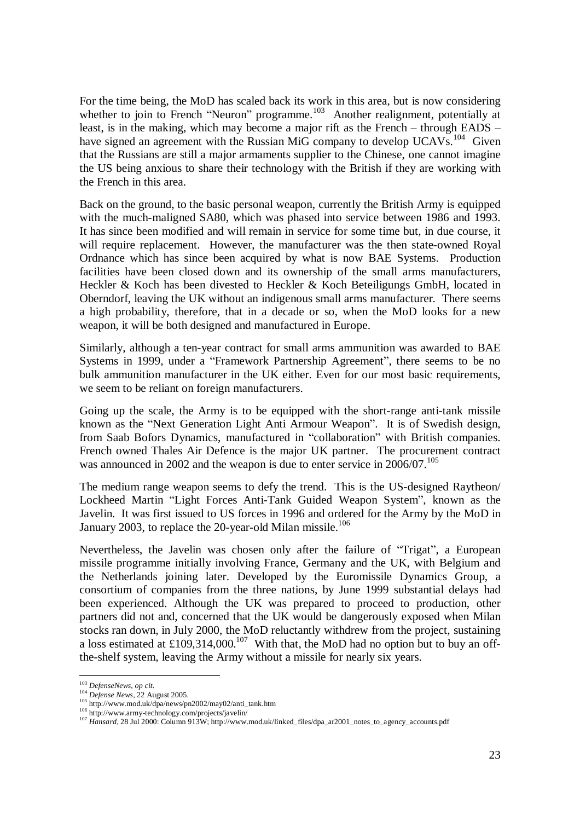For the time being, the MoD has scaled back its work in this area, but is now considering whether to join to French "Neuron" programme.<sup>103</sup> Another realignment, potentially at least, is in the making, which may become a major rift as the French – through EADS – have signed an agreement with the Russian MiG company to develop UCAVs.<sup>104</sup> Given that the Russians are still a major armaments supplier to the Chinese, one cannot imagine the US being anxious to share their technology with the British if they are working with the French in this area.

Back on the ground, to the basic personal weapon, currently the British Army is equipped with the much-maligned SA80, which was phased into service between 1986 and 1993. It has since been modified and will remain in service for some time but, in due course, it will require replacement. However, the manufacturer was the then state-owned Royal Ordnance which has since been acquired by what is now BAE Systems. Production facilities have been closed down and its ownership of the small arms manufacturers, Heckler & Koch has been divested to Heckler & Koch Beteiligungs GmbH, located in Oberndorf, leaving the UK without an indigenous small arms manufacturer. There seems a high probability, therefore, that in a decade or so, when the MoD looks for a new weapon, it will be both designed and manufactured in Europe.

Similarly, although a ten-year contract for small arms ammunition was awarded to BAE Systems in 1999, under a "Framework Partnership Agreement", there seems to be no bulk ammunition manufacturer in the UK either. Even for our most basic requirements, we seem to be reliant on foreign manufacturers.

Going up the scale, the Army is to be equipped with the short-range anti-tank missile known as the "Next Generation Light Anti Armour Weapon". It is of Swedish design, from Saab Bofors Dynamics, manufactured in "collaboration" with British companies. French owned Thales Air Defence is the major UK partner. The procurement contract was announced in 2002 and the weapon is due to enter service in  $2006/07$ .<sup>105</sup>

The medium range weapon seems to defy the trend. This is the US-designed Raytheon/ Lockheed Martin "Light Forces Anti-Tank Guided Weapon System", known as the Javelin. It was first issued to US forces in 1996 and ordered for the Army by the MoD in January 2003, to replace the 20-year-old Milan missile.<sup>106</sup>

Nevertheless, the Javelin was chosen only after the failure of "Trigat", a European missile programme initially involving France, Germany and the UK, with Belgium and the Netherlands joining later. Developed by the Euromissile Dynamics Group, a consortium of companies from the three nations, by June 1999 substantial delays had been experienced. Although the UK was prepared to proceed to production, other partners did not and, concerned that the UK would be dangerously exposed when Milan stocks ran down, in July 2000, the MoD reluctantly withdrew from the project, sustaining a loss estimated at £109,314,000.<sup>107</sup> With that, the MoD had no option but to buy an offthe-shelf system, leaving the Army without a missile for nearly six years.

<sup>103</sup> *DefenseNews*, *op cit*.

<sup>104</sup> *Defense News*, 22 August 2005.

 $105$  http://www.mod.uk/dpa/news/pn2002/may02/anti\_tank.htm

<sup>106</sup> http://www.army-technology.com/projects/javelin/

<sup>107</sup> *Hansard*, 28 Jul 2000: Column 913W; http://www.mod.uk/linked\_files/dpa\_ar2001\_notes\_to\_agency\_accounts.pdf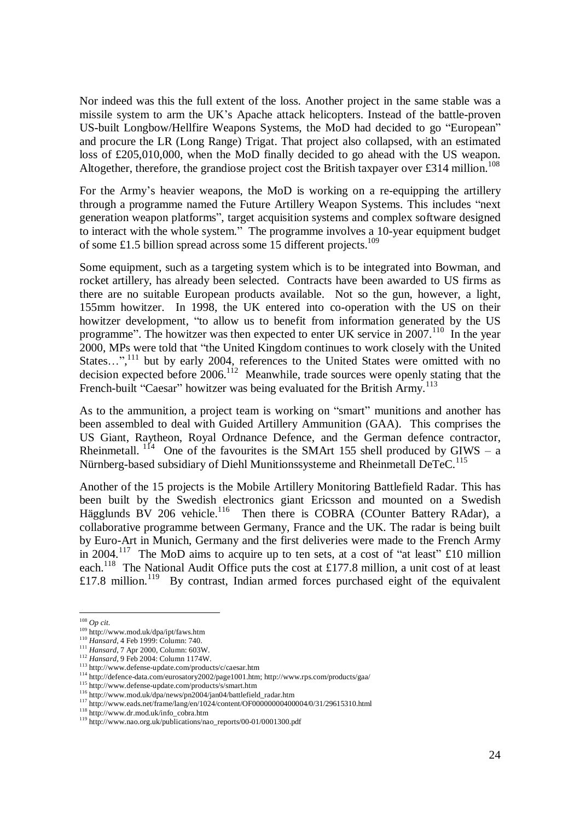Nor indeed was this the full extent of the loss. Another project in the same stable was a missile system to arm the UK's Apache attack helicopters. Instead of the battle-proven US-built Longbow/Hellfire Weapons Systems, the MoD had decided to go "European" and procure the LR (Long Range) Trigat. That project also collapsed, with an estimated loss of £205,010,000, when the MoD finally decided to go ahead with the US weapon. Altogether, therefore, the grandiose project cost the British taxpayer over £314 million.<sup>108</sup>

For the Army's heavier weapons, the MoD is working on a re-equipping the artillery through a programme named the Future Artillery Weapon Systems. This includes "next generation weapon platforms", target acquisition systems and complex software designed to interact with the whole system." The programme involves a 10-year equipment budget of some £1.5 billion spread across some 15 different projects.<sup>109</sup>

Some equipment, such as a targeting system which is to be integrated into Bowman, and rocket artillery, has already been selected. Contracts have been awarded to US firms as there are no suitable European products available. Not so the gun, however, a light, 155mm howitzer. In 1998, the UK entered into co-operation with the US on their howitzer development, "to allow us to benefit from information generated by the US programme". The howitzer was then expected to enter UK service in  $2007$ .<sup>110</sup> In the year 2000, MPs were told that "the United Kingdom continues to work closely with the United States...",<sup>111</sup> but by early 2004, references to the United States were omitted with no decision expected before  $2006$ <sup>112</sup> Meanwhile, trade sources were openly stating that the French-built "Caesar" howitzer was being evaluated for the British Army.<sup>113</sup>

As to the ammunition, a project team is working on "smart" munitions and another has been assembled to deal with Guided Artillery Ammunition (GAA). This comprises the US Giant, Raytheon, Royal Ordnance Defence, and the German defence contractor, Rheinmetall.  $114$  One of the favourites is the SMArt 155 shell produced by GIWS – a Nürnberg-based subsidiary of Diehl Munitionssysteme and Rheinmetall DeTeC.<sup>115</sup>

Another of the 15 projects is the Mobile Artillery Monitoring Battlefield Radar. This has been built by the Swedish electronics giant Ericsson and mounted on a Swedish Hägglunds BV 206 vehicle.<sup>116</sup> Then there is COBRA (COunter Battery RAdar), a collaborative programme between Germany, France and the UK. The radar is being built by Euro-Art in Munich, Germany and the first deliveries were made to the French Army in 2004.<sup>117</sup> The MoD aims to acquire up to ten sets, at a cost of "at least"  $\pounds 10$  million each.<sup>118</sup> The National Audit Office puts the cost at £177.8 million, a unit cost of at least £17.8 million.<sup>119</sup> By contrast, Indian armed forces purchased eight of the equivalent

<sup>108</sup> *Op cit*.

<sup>109</sup> http://www.mod.uk/dpa/ipt/faws.htm

<sup>110</sup> *Hansard*, 4 Feb 1999: Column: 740.

<sup>111</sup> *Hansard*, 7 Apr 2000, Column: 603W.

<sup>112</sup> *Hansard*, 9 Feb 2004: Column 1174W.

<sup>113</sup> http://www.defense-update.com/products/c/caesar.htm

<sup>114</sup> http://defence-data.com/eurosatory2002/page1001.htm; http://www.rps.com/products/gaa/

<sup>115</sup> http://www.defense-update.com/products/s/smart.htm

<sup>116</sup> http://www.mod.uk/dpa/news/pn2004/jan04/battlefield\_radar.htm

<sup>117</sup> http://www.eads.net/frame/lang/en/1024/content/OF0000000000004/0/31/29615310.html

<sup>118</sup> http://www.dr.mod.uk/info\_cobra.htm

<sup>119</sup> http://www.nao.org.uk/publications/nao\_reports/00-01/0001300.pdf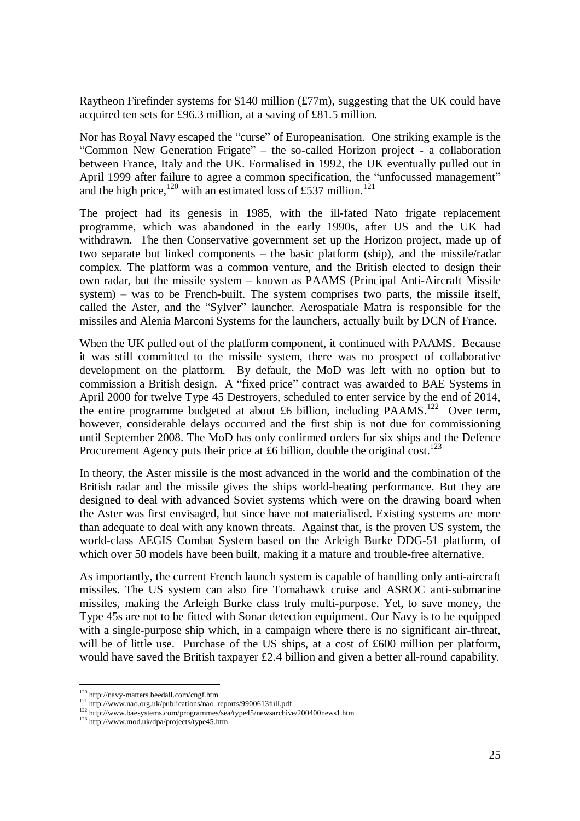Raytheon Firefinder systems for \$140 million (£77m), suggesting that the UK could have acquired ten sets for £96.3 million, at a saving of £81.5 million.

Nor has Royal Navy escaped the "curse" of Europeanisation. One striking example is the "Common New Generation Frigate"– the so-called Horizon project - a collaboration between France, Italy and the UK. Formalised in 1992, the UK eventually pulled out in April 1999 after failure to agree a common specification, the "unfocussed management" and the high price,<sup>120</sup> with an estimated loss of £537 million.<sup>121</sup>

The project had its genesis in 1985, with the ill-fated Nato frigate replacement programme, which was abandoned in the early 1990s, after US and the UK had withdrawn. The then Conservative government set up the Horizon project, made up of two separate but linked components – the basic platform (ship), and the missile/radar complex. The platform was a common venture, and the British elected to design their own radar, but the missile system – known as PAAMS (Principal Anti-Aircraft Missile system) – was to be French-built. The system comprises two parts, the missile itself, called the Aster, and the "Sylver" launcher. Aerospatiale Matra is responsible for the missiles and Alenia Marconi Systems for the launchers, actually built by DCN of France.

When the UK pulled out of the platform component, it continued with PAAMS. Because it was still committed to the missile system, there was no prospect of collaborative development on the platform. By default, the MoD was left with no option but to commission a British design. A "fixed price" contract was awarded to BAE Systems in April 2000 for twelve Type 45 Destroyers, scheduled to enter service by the end of 2014, the entire programme budgeted at about £6 billion, including PAAMS.<sup>122</sup> Over term, however, considerable delays occurred and the first ship is not due for commissioning until September 2008. The MoD has only confirmed orders for six ships and the Defence Procurement Agency puts their price at £6 billion, double the original cost.<sup>123</sup>

In theory, the Aster missile is the most advanced in the world and the combination of the British radar and the missile gives the ships world-beating performance. But they are designed to deal with advanced Soviet systems which were on the drawing board when the Aster was first envisaged, but since have not materialised. Existing systems are more than adequate to deal with any known threats. Against that, is the proven US system, the world-class AEGIS Combat System based on the Arleigh Burke DDG-51 platform, of which over 50 models have been built, making it a mature and trouble-free alternative.

As importantly, the current French launch system is capable of handling only anti-aircraft missiles. The US system can also fire Tomahawk cruise and ASROC anti-submarine missiles, making the Arleigh Burke class truly multi-purpose. Yet, to save money, the Type 45s are not to be fitted with Sonar detection equipment. Our Navy is to be equipped with a single-purpose ship which, in a campaign where there is no significant air-threat, will be of little use. Purchase of the US ships, at a cost of £600 million per platform, would have saved the British taxpayer £2.4 billion and given a better all-round capability.

 $^{120}$ http://navy-matters.beedall.com/cngf.htm

<sup>121</sup> http://www.nao.org.uk/publications/nao\_reports/9900613full.pdf

<sup>122</sup> http://www.baesystems.com/programmes/sea/type45/newsarchive/200400news1.htm

<sup>&</sup>lt;sup>123</sup> http://www.mod.uk/dpa/projects/type45.htm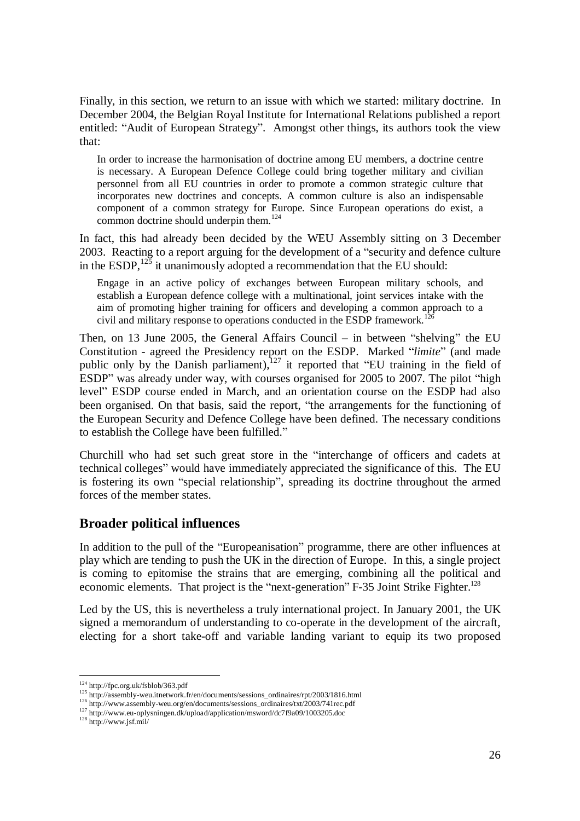Finally, in this section, we return to an issue with which we started: military doctrine. In December 2004, the Belgian Royal Institute for International Relations published a report entitled: "Audit of European Strategy". Amongst other things, its authors took the view that:

In order to increase the harmonisation of doctrine among EU members, a doctrine centre is necessary. A European Defence College could bring together military and civilian personnel from all EU countries in order to promote a common strategic culture that incorporates new doctrines and concepts. A common culture is also an indispensable component of a common strategy for Europe. Since European operations do exist, a common doctrine should underpin them.<sup>124</sup>

In fact, this had already been decided by the WEU Assembly sitting on 3 December 2003. Reacting to a report arguing for the development of a "security and defence culture in the ESDP,  $125$  it unanimously adopted a recommendation that the EU should:

Engage in an active policy of exchanges between European military schools, and establish a European defence college with a multinational, joint services intake with the aim of promoting higher training for officers and developing a common approach to a civil and military response to operations conducted in the ESDP framework.<sup>12</sup>

Then, on 13 June 2005, the General Affairs Council – in between "shelving" the EU Constitution - agreed the Presidency report on the ESDP. Marked "*limite*" (and made public only by the Danish parliament),<sup>127</sup> it reported that "EU training in the field of ESDP" was already under way, with courses organised for 2005 to 2007. The pilot "high level" ESDP course ended in March, and an orientation course on the ESDP had also been organised. On that basis, said the report, "the arrangements for the functioning of the European Security and Defence College have been defined. The necessary conditions to establish the College have been fulfilled."

Churchill who had set such great store in the "interchange of officers and cadets at technical colleges" would have immediately appreciated the significance of this. The EU is fostering its own "special relationship", spreading its doctrine throughout the armed forces of the member states.

#### **Broader political influences**

In addition to the pull of the "Europeanisation" programme, there are other influences at play which are tending to push the UK in the direction of Europe. In this, a single project is coming to epitomise the strains that are emerging, combining all the political and economic elements. That project is the "next-generation" F-35 Joint Strike Fighter.<sup>128</sup>

Led by the US, this is nevertheless a truly international project. In January 2001, the UK signed a memorandum of understanding to co-operate in the development of the aircraft, electing for a short take-off and variable landing variant to equip its two proposed

<sup>124</sup> http://fpc.org.uk/fsblob/363.pdf

<sup>125</sup> http://assembly-weu.itnetwork.fr/en/documents/sessions\_ordinaires/rpt/2003/1816.html

<sup>&</sup>lt;sup>126</sup> http://www.assembly-weu.org/en/documents/sessions\_ordinaires/txt/2003/741rec.pdf

<sup>127</sup> http://www.eu-oplysningen.dk/upload/application/msword/dc7f9a09/1003205.doc

<sup>128</sup> http://www.jsf.mil/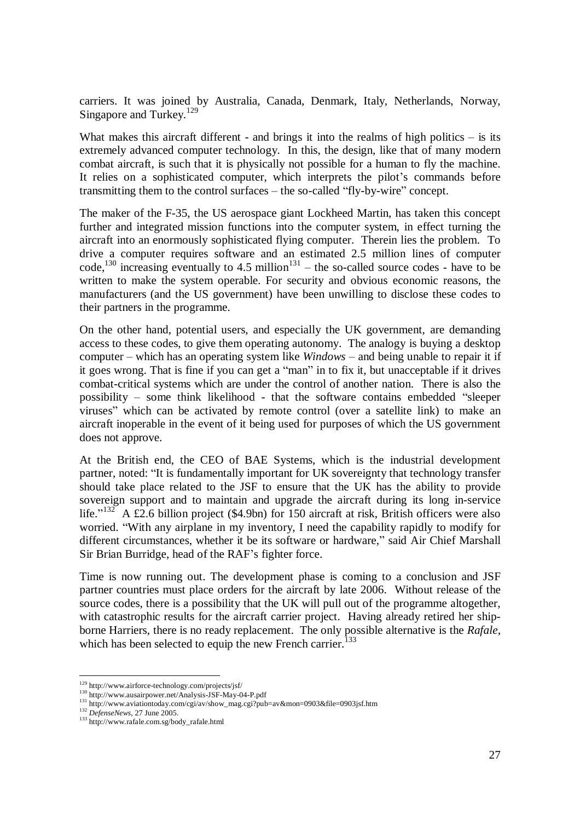carriers. It was joined by Australia, Canada, Denmark, Italy, Netherlands, Norway, Singapore and Turkey.<sup>129</sup>

What makes this aircraft different - and brings it into the realms of high politics  $-$  is its extremely advanced computer technology. In this, the design, like that of many modern combat aircraft, is such that it is physically not possible for a human to fly the machine. It relies on a sophisticated computer, which interprets the pilot's commands before transmitting them to the control surfaces – the so-called "fly-by-wire" concept.

The maker of the F-35, the US aerospace giant Lockheed Martin, has taken this concept further and integrated mission functions into the computer system, in effect turning the aircraft into an enormously sophisticated flying computer. Therein lies the problem. To drive a computer requires software and an estimated 2.5 million lines of computer code,<sup>130</sup> increasing eventually to 4.5 million<sup>131</sup> – the so-called source codes - have to be written to make the system operable. For security and obvious economic reasons, the manufacturers (and the US government) have been unwilling to disclose these codes to their partners in the programme.

On the other hand, potential users, and especially the UK government, are demanding access to these codes, to give them operating autonomy. The analogy is buying a desktop computer – which has an operating system like *Windows* – and being unable to repair it if it goes wrong. That is fine if you can get a "man" in to fix it, but unacceptable if it drives combat-critical systems which are under the control of another nation. There is also the possibility – some think likelihood - that the software contains embedded "sleeper viruses" which can be activated by remote control (over a satellite link) to make an aircraft inoperable in the event of it being used for purposes of which the US government does not approve.

At the British end, the CEO of BAE Systems, which is the industrial development partner, noted: "It is fundamentally important for UK sovereignty that technology transfer should take place related to the JSF to ensure that the UK has the ability to provide sovereign support and to maintain and upgrade the aircraft during its long in-service life."<sup>132</sup> A £2.6 billion project (\$4.9bn) for 150 aircraft at risk, British officers were also worried. "With any airplane in my inventory, I need the capability rapidly to modify for different circumstances, whether it be its software or hardware," said Air Chief Marshall Sir Brian Burridge, head of the RAF's fighter force.

Time is now running out. The development phase is coming to a conclusion and JSF partner countries must place orders for the aircraft by late 2006. Without release of the source codes, there is a possibility that the UK will pull out of the programme altogether, with catastrophic results for the aircraft carrier project. Having already retired her shipborne Harriers, there is no ready replacement. The only possible alternative is the *Rafale*, which has been selected to equip the new French carrier.<sup>1</sup>

<sup>129</sup> http://www.airforce-technology.com/projects/jsf/

<sup>130</sup> http://www.ausairpower.net/Analysis-JSF-May-04-P.pdf

<sup>131</sup> http://www.aviationtoday.com/cgi/av/show\_mag.cgi?pub=av&mon=0903&file=0903jsf.htm

<sup>132</sup> *DefenseNews*, 27 June 2005.

<sup>133</sup> http://www.rafale.com.sg/body\_rafale.html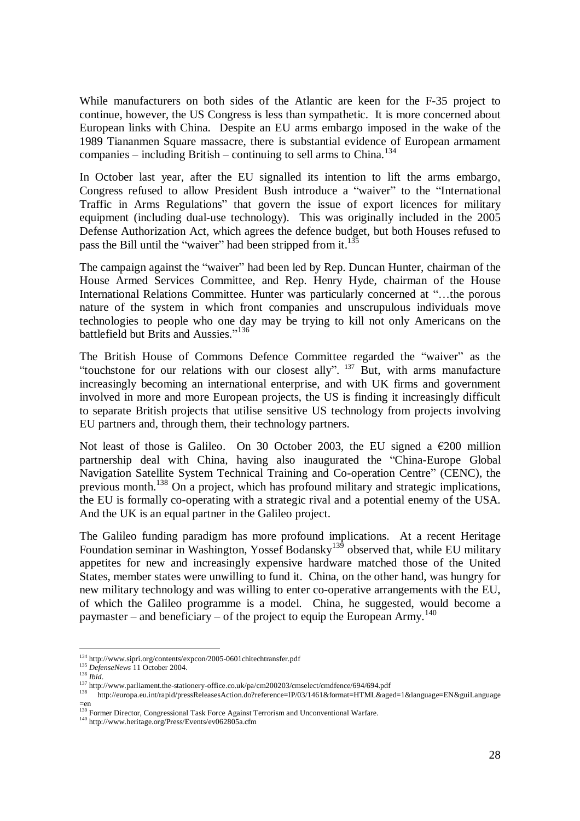While manufacturers on both sides of the Atlantic are keen for the F-35 project to continue, however, the US Congress is less than sympathetic. It is more concerned about European links with China. Despite an EU arms embargo imposed in the wake of the 1989 Tiananmen Square massacre, there is substantial evidence of European armament companies – including British – continuing to sell arms to China.<sup>134</sup>

In October last year, after the EU signalled its intention to lift the arms embargo, Congress refused to allow President Bush introduce a "waiver" to the "International Traffic in Arms Regulations" that govern the issue of export licences for military equipment (including dual-use technology). This was originally included in the 2005 Defense Authorization Act, which agrees the defence budget, but both Houses refused to pass the Bill until the "waiver" had been stripped from it. $135$ 

The campaign against the "waiver" had been led by Rep. Duncan Hunter, chairman of the House Armed Services Committee, and Rep. Henry Hyde, chairman of the House International Relations Committee. Hunter was particularly concerned at "…the porous nature of the system in which front companies and unscrupulous individuals move technologies to people who one day may be trying to kill not only Americans on the battlefield but Brits and Aussies."<sup>136</sup>

The British House of Commons Defence Committee regarded the "waiver" as the "touchstone for our relations with our closest ally". <sup>137</sup> But, with arms manufacture increasingly becoming an international enterprise, and with UK firms and government involved in more and more European projects, the US is finding it increasingly difficult to separate British projects that utilise sensitive US technology from projects involving EU partners and, through them, their technology partners.

Not least of those is Galileo. On 30 October 2003, the EU signed a  $\epsilon$ 200 million partnership deal with China, having also inaugurated the "China-Europe Global Navigation Satellite System Technical Training and Co-operation Centre" (CENC), the previous month.<sup>138</sup> On a project, which has profound military and strategic implications, the EU is formally co-operating with a strategic rival and a potential enemy of the USA. And the UK is an equal partner in the Galileo project.

The Galileo funding paradigm has more profound implications. At a recent Heritage Foundation seminar in Washington, Yossef Bodansky<sup>139</sup> observed that, while EU military appetites for new and increasingly expensive hardware matched those of the United States, member states were unwilling to fund it. China, on the other hand, was hungry for new military technology and was willing to enter co-operative arrangements with the EU, of which the Galileo programme is a model. China, he suggested, would become a paymaster – and beneficiary – of the project to equip the European Army.<sup>140</sup>

<sup>134</sup> http://www.sipri.org/contents/expcon/2005-0601chitechtransfer.pdf

<sup>135</sup> *DefenseNews* 11 October 2004.

<sup>136</sup> *Ibid*.

<sup>&</sup>lt;sup>137</sup> http://www.parliament.the-stationery-office.co.uk/pa/cm200203/cmselect/cmdfence/694/694.pdf

<sup>138</sup> http://europa.eu.int/rapid/pressReleasesAction.do?reference=IP/03/1461&format=HTML&aged=1&language=EN&guiLanguage  $=$ en

<sup>&</sup>lt;sup>139</sup> Former Director, Congressional Task Force Against Terrorism and Unconventional Warfare.

<sup>140</sup> http://www.heritage.org/Press/Events/ev062805a.cfm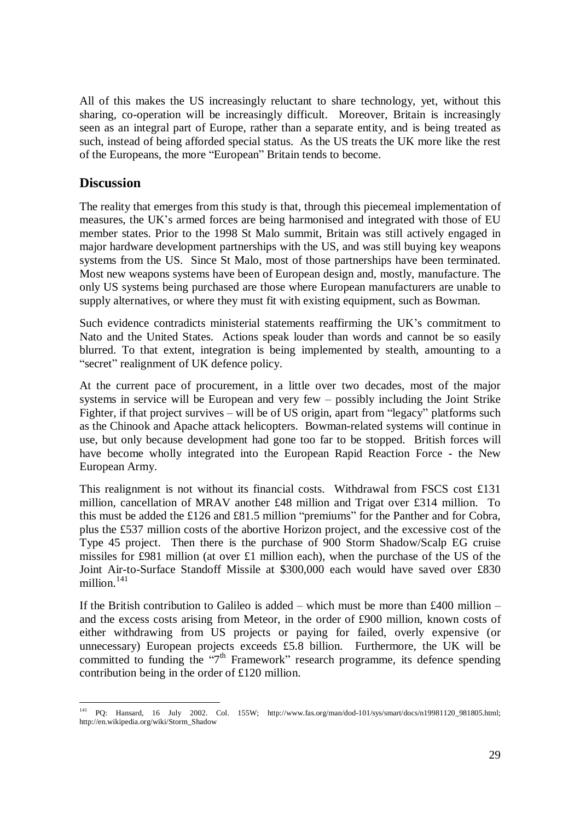All of this makes the US increasingly reluctant to share technology, yet, without this sharing, co-operation will be increasingly difficult. Moreover, Britain is increasingly seen as an integral part of Europe, rather than a separate entity, and is being treated as such, instead of being afforded special status. As the US treats the UK more like the rest of the Europeans, the more "European" Britain tends to become.

#### **Discussion**

The reality that emerges from this study is that, through this piecemeal implementation of measures, the UK's armed forces are being harmonised and integrated with those of EU member states. Prior to the 1998 St Malo summit, Britain was still actively engaged in major hardware development partnerships with the US, and was still buying key weapons systems from the US. Since St Malo, most of those partnerships have been terminated. Most new weapons systems have been of European design and, mostly, manufacture. The only US systems being purchased are those where European manufacturers are unable to supply alternatives, or where they must fit with existing equipment, such as Bowman.

Such evidence contradicts ministerial statements reaffirming the UK's commitment to Nato and the United States. Actions speak louder than words and cannot be so easily blurred. To that extent, integration is being implemented by stealth, amounting to a "secret" realignment of UK defence policy.

At the current pace of procurement, in a little over two decades, most of the major systems in service will be European and very few – possibly including the Joint Strike Fighter, if that project survives – will be of US origin, apart from "legacy" platforms such as the Chinook and Apache attack helicopters. Bowman-related systems will continue in use, but only because development had gone too far to be stopped. British forces will have become wholly integrated into the European Rapid Reaction Force - the New European Army.

This realignment is not without its financial costs. Withdrawal from FSCS cost £131 million, cancellation of MRAV another £48 million and Trigat over £314 million. To this must be added the £126 and £81.5 million "premiums" for the Panther and for Cobra, plus the £537 million costs of the abortive Horizon project, and the excessive cost of the Type 45 project. Then there is the purchase of 900 Storm Shadow/Scalp EG cruise missiles for £981 million (at over £1 million each), when the purchase of the US of the Joint Air-to-Surface Standoff Missile at \$300,000 each would have saved over £830 million. $141$ 

If the British contribution to Galileo is added – which must be more than  $\text{\pounds}400$  million – and the excess costs arising from Meteor, in the order of £900 million, known costs of either withdrawing from US projects or paying for failed, overly expensive (or unnecessary) European projects exceeds £5.8 billion. Furthermore, the UK will be committed to funding the "7<sup>th</sup> Framework" research programme, its defence spending contribution being in the order of £120 million.

<sup>141</sup> PQ: Hansard, 16 July 2002. Col. 155W; http://www.fas.org/man/dod-101/sys/smart/docs/n19981120\_981805.html; http://en.wikipedia.org/wiki/Storm\_Shadow